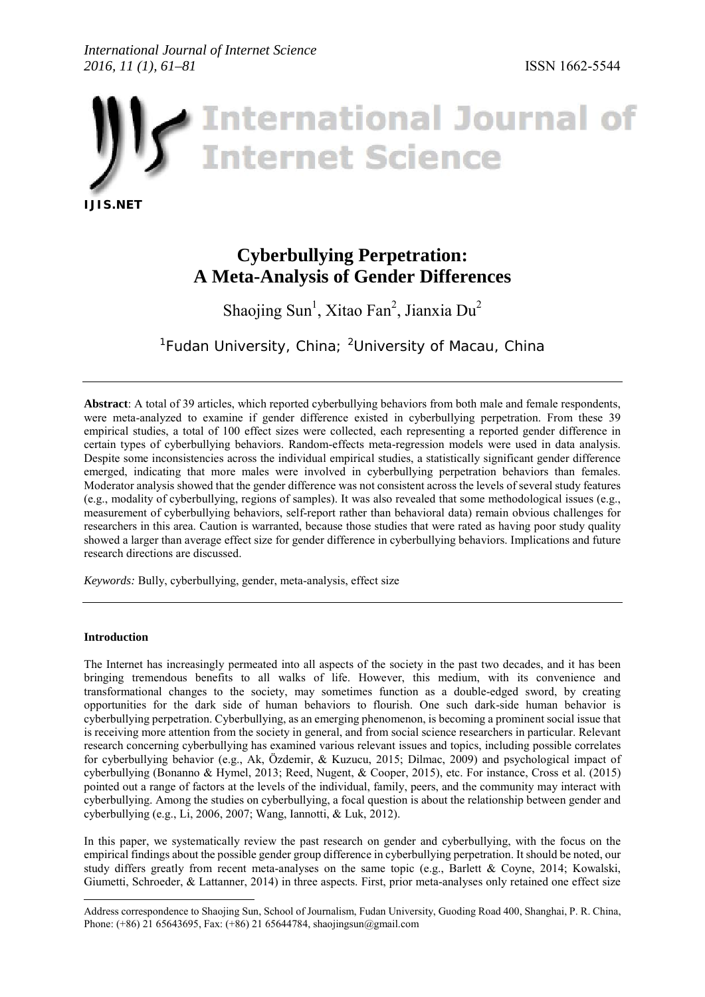# *International Journal of Internet Science 2016, 11 (1), 61–81* ISSN 1662-5544



# **Cyberbullying Perpetration: A Meta-Analysis of Gender Differences**

Sh[a](#page-0-0)ojing Sun<sup>1</sup>, Xitao Fan<sup>2</sup>, Jianxia Du<sup>2</sup>

<sup>1</sup>Fudan University, China; <sup>2</sup>University of Macau, China

**Abstract**: A total of 39 articles, which reported cyberbullying behaviors from both male and female respondents, were meta-analyzed to examine if gender difference existed in cyberbullying perpetration. From these 39 empirical studies, a total of 100 effect sizes were collected, each representing a reported gender difference in certain types of cyberbullying behaviors. Random-effects meta-regression models were used in data analysis. Despite some inconsistencies across the individual empirical studies, a statistically significant gender difference emerged, indicating that more males were involved in cyberbullying perpetration behaviors than females. Moderator analysis showed that the gender difference was not consistent across the levels of several study features (e.g., modality of cyberbullying, regions of samples). It was also revealed that some methodological issues (e.g., measurement of cyberbullying behaviors, self-report rather than behavioral data) remain obvious challenges for researchers in this area. Caution is warranted, because those studies that were rated as having poor study quality showed a larger than average effect size for gender difference in cyberbullying behaviors. Implications and future research directions are discussed.

*Keywords:* Bully, cyberbullying, gender, meta-analysis, effect size

## **Introduction**

The Internet has increasingly permeated into all aspects of the society in the past two decades, and it has been bringing tremendous benefits to all walks of life. However, this medium, with its convenience and transformational changes to the society, may sometimes function as a double-edged sword, by creating opportunities for the dark side of human behaviors to flourish. One such dark-side human behavior is cyberbullying perpetration. Cyberbullying, as an emerging phenomenon, is becoming a prominent social issue that is receiving more attention from the society in general, and from social science researchers in particular. Relevant research concerning cyberbullying has examined various relevant issues and topics, including possible correlates for cyberbullying behavior (e.g., Ak, Özdemir, & Kuzucu, 2015; Dilmac, 2009) and psychological impact of cyberbullying (Bonanno & Hymel, 2013; Reed, Nugent, & Cooper, 2015), etc. For instance, Cross et al. (2015) pointed out a range of factors at the levels of the individual, family, peers, and the community may interact with cyberbullying. Among the studies on cyberbullying, a focal question is about the relationship between gender and cyberbullying (e.g., Li, 2006, 2007; Wang, Iannotti, & Luk, 2012).

In this paper, we systematically review the past research on gender and cyberbullying, with the focus on the empirical findings about the possible gender group difference in cyberbullying perpetration. It should be noted, our study differs greatly from recent meta-analyses on the same topic (e.g., Barlett & Coyne, 2014; Kowalski, Giumetti, Schroeder, & Lattanner, 2014) in three aspects. First, prior meta-analyses only retained one effect size

<span id="page-0-0"></span><sup>-</sup>Address correspondence to Shaojing Sun, School of Journalism, Fudan University, Guoding Road 400, Shanghai, P. R. China, Phone: (+86) 21 65643695, Fax: (+86) 21 65644784, shaojingsun@gmail.com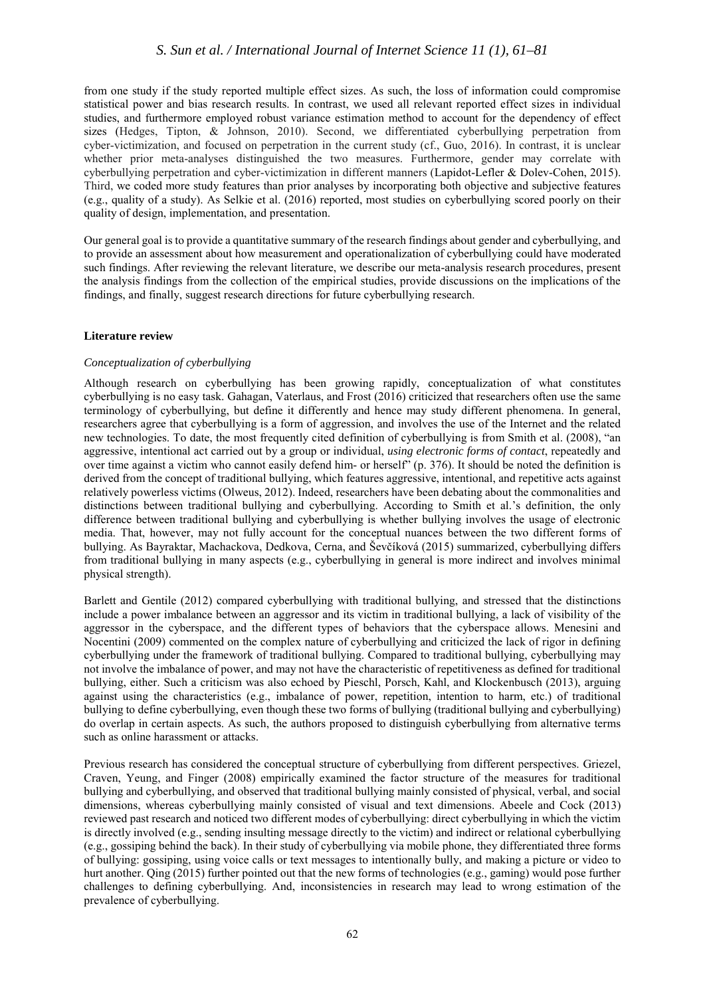from one study if the study reported multiple effect sizes. As such, the loss of information could compromise statistical power and bias research results. In contrast, we used all relevant reported effect sizes in individual studies, and furthermore employed robust variance estimation method to account for the dependency of effect sizes (Hedges, Tipton, & Johnson, 2010). Second, we differentiated cyberbullying perpetration from cyber-victimization, and focused on perpetration in the current study (cf., Guo, 2016). In contrast, it is unclear whether prior meta-analyses distinguished the two measures. Furthermore, gender may correlate with cyberbullying perpetration and cyber-victimization in different manners (Lapidot-Lefler & Dolev-Cohen, 2015). Third, we coded more study features than prior analyses by incorporating both objective and subjective features (e.g., quality of a study). As Selkie et al. (2016) reported, most studies on cyberbullying scored poorly on their quality of design, implementation, and presentation.

Our general goal is to provide a quantitative summary of the research findings about gender and cyberbullying, and to provide an assessment about how measurement and operationalization of cyberbullying could have moderated such findings. After reviewing the relevant literature, we describe our meta-analysis research procedures, present the analysis findings from the collection of the empirical studies, provide discussions on the implications of the findings, and finally, suggest research directions for future cyberbullying research.

## **Literature review**

## *Conceptualization of cyberbullying*

Although research on cyberbullying has been growing rapidly, conceptualization of what constitutes cyberbullying is no easy task. Gahagan, Vaterlaus, and Frost (2016) criticized that researchers often use the same terminology of cyberbullying, but define it differently and hence may study different phenomena. In general, researchers agree that cyberbullying is a form of aggression, and involves the use of the Internet and the related new technologies. To date, the most frequently cited definition of cyberbullying is from Smith et al. (2008), "an aggressive, intentional act carried out by a group or individual, *using electronic forms of contact*, repeatedly and over time against a victim who cannot easily defend him- or herself" (p. 376). It should be noted the definition is derived from the concept of traditional bullying, which features aggressive, intentional, and repetitive acts against relatively powerless victims (Olweus, 2012). Indeed, researchers have been debating about the commonalities and distinctions between traditional bullying and cyberbullying. According to Smith et al.'s definition, the only difference between traditional bullying and cyberbullying is whether bullying involves the usage of electronic media. That, however, may not fully account for the conceptual nuances between the two different forms of bullying. As Bayraktar, Machackova, Dedkova, Cerna, and Ševčíková (2015) summarized, cyberbullying differs from traditional bullying in many aspects (e.g., cyberbullying in general is more indirect and involves minimal physical strength).

Barlett and Gentile (2012) compared cyberbullying with traditional bullying, and stressed that the distinctions include a power imbalance between an aggressor and its victim in traditional bullying, a lack of visibility of the aggressor in the cyberspace, and the different types of behaviors that the cyberspace allows. Menesini and Nocentini (2009) commented on the complex nature of cyberbullying and criticized the lack of rigor in defining cyberbullying under the framework of traditional bullying. Compared to traditional bullying, cyberbullying may not involve the imbalance of power, and may not have the characteristic of repetitiveness as defined for traditional bullying, either. Such a criticism was also echoed by Pieschl, Porsch, Kahl, and Klockenbusch (2013), arguing against using the characteristics (e.g., imbalance of power, repetition, intention to harm, etc.) of traditional bullying to define cyberbullying, even though these two forms of bullying (traditional bullying and cyberbullying) do overlap in certain aspects. As such, the authors proposed to distinguish cyberbullying from alternative terms such as online harassment or attacks.

Previous research has considered the conceptual structure of cyberbullying from different perspectives. Griezel, Craven, Yeung, and Finger (2008) empirically examined the factor structure of the measures for traditional bullying and cyberbullying, and observed that traditional bullying mainly consisted of physical, verbal, and social dimensions, whereas cyberbullying mainly consisted of visual and text dimensions. Abeele and Cock (2013) reviewed past research and noticed two different modes of cyberbullying: direct cyberbullying in which the victim is directly involved (e.g., sending insulting message directly to the victim) and indirect or relational cyberbullying (e.g., gossiping behind the back). In their study of cyberbullying via mobile phone, they differentiated three forms of bullying: gossiping, using voice calls or text messages to intentionally bully, and making a picture or video to hurt another. Qing (2015) further pointed out that the new forms of technologies (e.g., gaming) would pose further challenges to defining cyberbullying. And, inconsistencies in research may lead to wrong estimation of the prevalence of cyberbullying.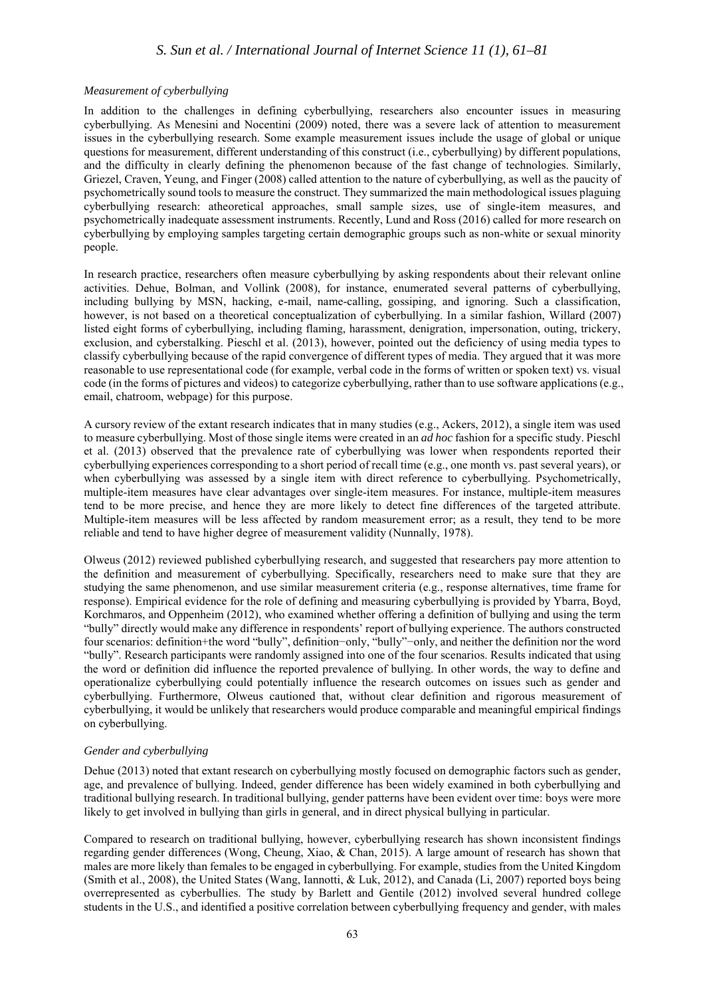# *S. Sun et al. / International Journal of Internet Science 11 (1), 61–81*

#### *Measurement of cyberbullying*

In addition to the challenges in defining cyberbullying, researchers also encounter issues in measuring cyberbullying. As Menesini and Nocentini (2009) noted, there was a severe lack of attention to measurement issues in the cyberbullying research. Some example measurement issues include the usage of global or unique questions for measurement, different understanding of this construct (i.e., cyberbullying) by different populations, and the difficulty in clearly defining the phenomenon because of the fast change of technologies. Similarly, Griezel, Craven, Yeung, and Finger (2008) called attention to the nature of cyberbullying, as well as the paucity of psychometrically sound tools to measure the construct. They summarized the main methodological issues plaguing cyberbullying research: atheoretical approaches, small sample sizes, use of single-item measures, and psychometrically inadequate assessment instruments. Recently, Lund and Ross (2016) called for more research on cyberbullying by employing samples targeting certain demographic groups such as non-white or sexual minority people.

In research practice, researchers often measure cyberbullying by asking respondents about their relevant online activities. Dehue, Bolman, and Vollink (2008), for instance, enumerated several patterns of cyberbullying, including bullying by MSN, hacking, e-mail, name-calling, gossiping, and ignoring. Such a classification, however, is not based on a theoretical conceptualization of cyberbullying. In a similar fashion, Willard (2007) listed eight forms of cyberbullying, including flaming, harassment, denigration, impersonation, outing, trickery, exclusion, and cyberstalking. Pieschl et al. (2013), however, pointed out the deficiency of using media types to classify cyberbullying because of the rapid convergence of different types of media. They argued that it was more reasonable to use representational code (for example, verbal code in the forms of written or spoken text) vs. visual code (in the forms of pictures and videos) to categorize cyberbullying, rather than to use software applications (e.g., email, chatroom, webpage) for this purpose.

A cursory review of the extant research indicates that in many studies (e.g., Ackers, 2012), a single item was used to measure cyberbullying. Most of those single items were created in an *ad hoc* fashion for a specific study. Pieschl et al. (2013) observed that the prevalence rate of cyberbullying was lower when respondents reported their cyberbullying experiences corresponding to a short period of recall time (e.g., one month vs. past several years), or when cyberbullying was assessed by a single item with direct reference to cyberbullying. Psychometrically, multiple-item measures have clear advantages over single-item measures. For instance, multiple-item measures tend to be more precise, and hence they are more likely to detect fine differences of the targeted attribute. Multiple-item measures will be less affected by random measurement error; as a result, they tend to be more reliable and tend to have higher degree of measurement validity (Nunnally, 1978).

Olweus (2012) reviewed published cyberbullying research, and suggested that researchers pay more attention to the definition and measurement of cyberbullying. Specifically, researchers need to make sure that they are studying the same phenomenon, and use similar measurement criteria (e.g., response alternatives, time frame for response). Empirical evidence for the role of defining and measuring cyberbullying is provided by Ybarra, Boyd, Korchmaros, and Oppenheim (2012), who examined whether offering a definition of bullying and using the term "bully" directly would make any difference in respondents' report of bullying experience. The authors constructed four scenarios: definition+the word "bully", definition−only, "bully"−only, and neither the definition nor the word "bully". Research participants were randomly assigned into one of the four scenarios. Results indicated that using the word or definition did influence the reported prevalence of bullying. In other words, the way to define and operationalize cyberbullying could potentially influence the research outcomes on issues such as gender and cyberbullying. Furthermore, Olweus cautioned that, without clear definition and rigorous measurement of cyberbullying, it would be unlikely that researchers would produce comparable and meaningful empirical findings on cyberbullying.

#### *Gender and cyberbullying*

Dehue (2013) noted that extant research on cyberbullying mostly focused on demographic factors such as gender, age, and prevalence of bullying. Indeed, gender difference has been widely examined in both cyberbullying and traditional bullying research. In traditional bullying, gender patterns have been evident over time: boys were more likely to get involved in bullying than girls in general, and in direct physical bullying in particular.

Compared to research on traditional bullying, however, cyberbullying research has shown inconsistent findings regarding gender differences (Wong, Cheung, Xiao, & Chan, 2015). A large amount of research has shown that males are more likely than females to be engaged in cyberbullying. For example, studies from the United Kingdom (Smith et al., 2008), the United States (Wang, Iannotti, & Luk, 2012), and Canada (Li, 2007) reported boys being overrepresented as cyberbullies. The study by Barlett and Gentile (2012) involved several hundred college students in the U.S., and identified a positive correlation between cyberbullying frequency and gender, with males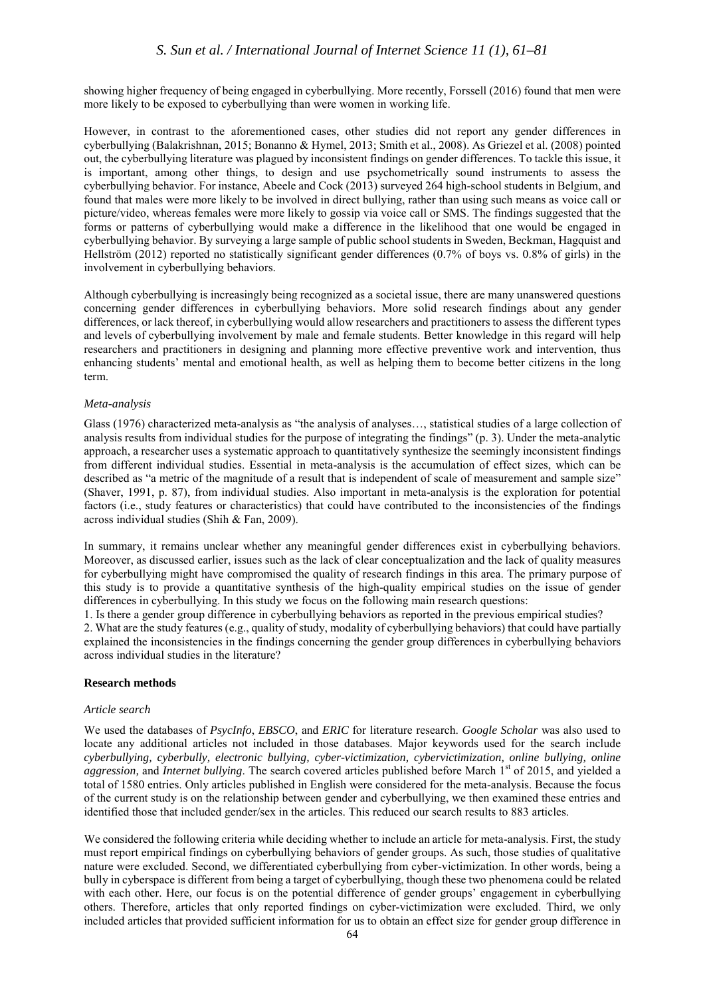# *S. Sun et al. / International Journal of Internet Science 11 (1), 61–81*

showing higher frequency of being engaged in cyberbullying. More recently, Forssell (2016) found that men were more likely to be exposed to cyberbullying than were women in working life.

However, in contrast to the aforementioned cases, other studies did not report any gender differences in cyberbullying (Balakrishnan, 2015; Bonanno & Hymel, 2013; Smith et al., 2008). As Griezel et al. (2008) pointed out, the cyberbullying literature was plagued by inconsistent findings on gender differences. To tackle this issue, it is important, among other things, to design and use psychometrically sound instruments to assess the cyberbullying behavior. For instance, Abeele and Cock (2013) surveyed 264 high-school students in Belgium, and found that males were more likely to be involved in direct bullying, rather than using such means as voice call or picture/video, whereas females were more likely to gossip via voice call or SMS. The findings suggested that the forms or patterns of cyberbullying would make a difference in the likelihood that one would be engaged in cyberbullying behavior. By surveying a large sample of public school students in Sweden, Beckman, Hagquist and Hellström (2012) reported no statistically significant gender differences (0.7% of boys vs. 0.8% of girls) in the involvement in cyberbullying behaviors.

Although cyberbullying is increasingly being recognized as a societal issue, there are many unanswered questions concerning gender differences in cyberbullying behaviors. More solid research findings about any gender differences, or lack thereof, in cyberbullying would allow researchers and practitioners to assess the different types and levels of cyberbullying involvement by male and female students. Better knowledge in this regard will help researchers and practitioners in designing and planning more effective preventive work and intervention, thus enhancing students' mental and emotional health, as well as helping them to become better citizens in the long term.

#### *Meta-analysis*

Glass (1976) characterized meta-analysis as "the analysis of analyses…, statistical studies of a large collection of analysis results from individual studies for the purpose of integrating the findings" (p. 3). Under the meta-analytic approach, a researcher uses a systematic approach to quantitatively synthesize the seemingly inconsistent findings from different individual studies. Essential in meta-analysis is the accumulation of effect sizes, which can be described as "a metric of the magnitude of a result that is independent of scale of measurement and sample size" (Shaver, 1991, p. 87), from individual studies. Also important in meta-analysis is the exploration for potential factors (i.e., study features or characteristics) that could have contributed to the inconsistencies of the findings across individual studies (Shih & Fan, 2009).

In summary, it remains unclear whether any meaningful gender differences exist in cyberbullying behaviors. Moreover, as discussed earlier, issues such as the lack of clear conceptualization and the lack of quality measures for cyberbullying might have compromised the quality of research findings in this area. The primary purpose of this study is to provide a quantitative synthesis of the high-quality empirical studies on the issue of gender differences in cyberbullying. In this study we focus on the following main research questions:

1. Is there a gender group difference in cyberbullying behaviors as reported in the previous empirical studies? 2. What are the study features (e.g., quality of study, modality of cyberbullying behaviors) that could have partially explained the inconsistencies in the findings concerning the gender group differences in cyberbullying behaviors across individual studies in the literature?

#### **Research methods**

#### *Article search*

We used the databases of *PsycInfo*, *EBSCO*, and *ERIC* for literature research. *Google Scholar* was also used to locate any additional articles not included in those databases. Major keywords used for the search include *cyberbullying, cyberbully, electronic bullying, cyber-victimization, cybervictimization, online bullying, online aggression, and Internet bullying*. The search covered articles published before March 1<sup>st</sup> of 2015, and yielded a total of 1580 entries. Only articles published in English were considered for the meta-analysis. Because the focus of the current study is on the relationship between gender and cyberbullying, we then examined these entries and identified those that included gender/sex in the articles. This reduced our search results to 883 articles.

We considered the following criteria while deciding whether to include an article for meta-analysis. First, the study must report empirical findings on cyberbullying behaviors of gender groups. As such, those studies of qualitative nature were excluded. Second, we differentiated cyberbullying from cyber-victimization. In other words, being a bully in cyberspace is different from being a target of cyberbullying, though these two phenomena could be related with each other. Here, our focus is on the potential difference of gender groups' engagement in cyberbullying others. Therefore, articles that only reported findings on cyber-victimization were excluded. Third, we only included articles that provided sufficient information for us to obtain an effect size for gender group difference in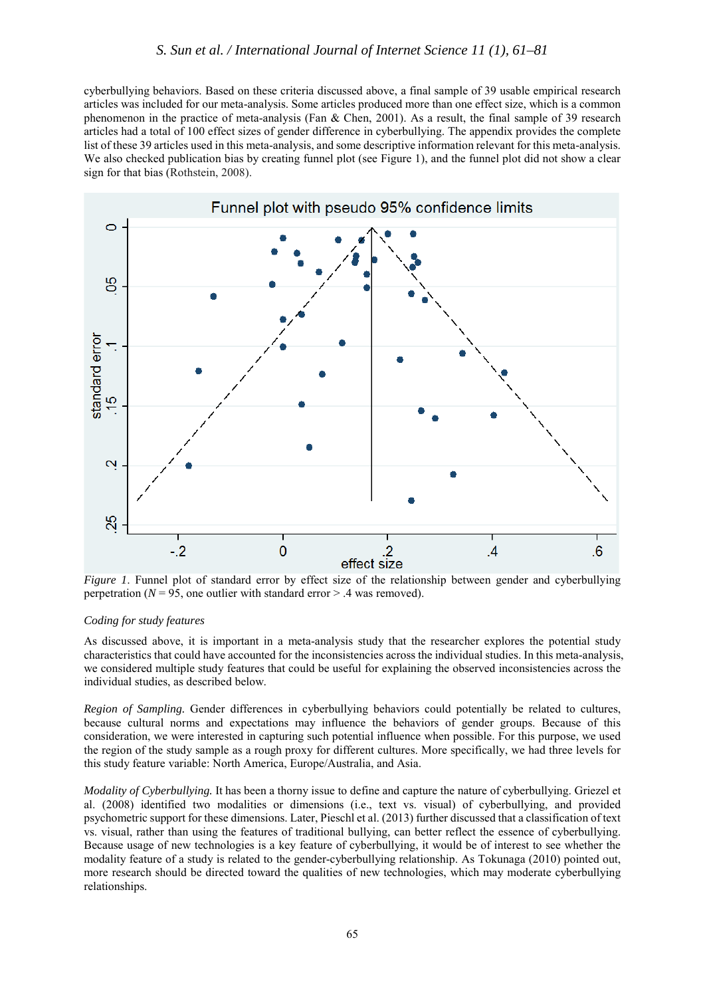cyberbullying behaviors. Based on these criteria discussed above, a final sample of 39 usable empirical research articles was included for our meta-analysis. Some articles produced more than one effect size, which is a common phenomenon in the practice of meta-analysis (Fan & Chen, 2001). As a result, the final sample of 39 research articles had a total of 100 effect sizes of gender difference in cyberbullying. The appendix provides the complete list of these 39 articles used in this meta-analysis, and some descriptive information relevant for this meta-analysis. We also checked publication bias by creating funnel plot (see Figure 1), and the funnel plot did not show a clear sign for that bias (Rothstein, 2008).



*Figure 1*. Funnel plot of standard error by effect size of the relationship between gender and cyberbullying perpetration ( $N = 95$ , one outlier with standard error  $> 0.4$  was removed).

## *Coding for study features*

As discussed above, it is important in a meta-analysis study that the researcher explores the potential study characteristics that could have accounted for the inconsistencies across the individual studies. In this meta-analysis, we considered multiple study features that could be useful for explaining the observed inconsistencies across the individual studies, as described below.

*Region of Sampling.* Gender differences in cyberbullying behaviors could potentially be related to cultures, because cultural norms and expectations may influence the behaviors of gender groups. Because of this consideration, we were interested in capturing such potential influence when possible. For this purpose, we used the region of the study sample as a rough proxy for different cultures. More specifically, we had three levels for this study feature variable: North America, Europe/Australia, and Asia.

*Modality of Cyberbullying.* It has been a thorny issue to define and capture the nature of cyberbullying. Griezel et al. (2008) identified two modalities or dimensions (i.e., text vs. visual) of cyberbullying, and provided psychometric support for these dimensions. Later, Pieschl et al. (2013) further discussed that a classification of text vs. visual, rather than using the features of traditional bullying, can better reflect the essence of cyberbullying. Because usage of new technologies is a key feature of cyberbullying, it would be of interest to see whether the modality feature of a study is related to the gender-cyberbullying relationship. As Tokunaga (2010) pointed out, more research should be directed toward the qualities of new technologies, which may moderate cyberbullying relationships.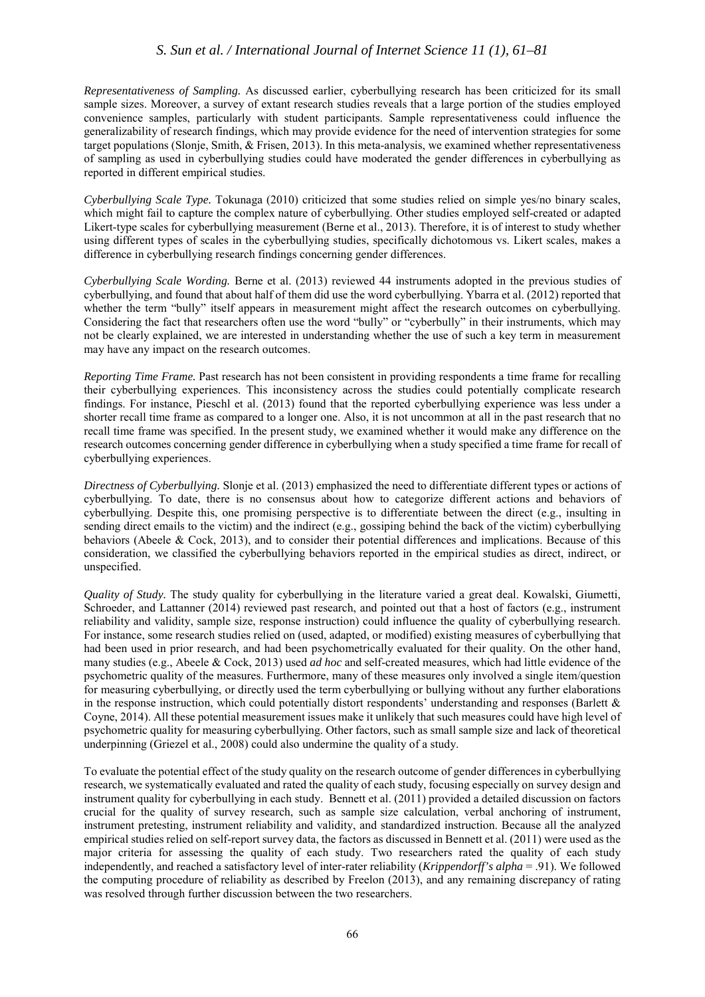# *S. Sun et al. / International Journal of Internet Science 11 (1), 61–81*

*Representativeness of Sampling.* As discussed earlier, cyberbullying research has been criticized for its small sample sizes. Moreover, a survey of extant research studies reveals that a large portion of the studies employed convenience samples, particularly with student participants. Sample representativeness could influence the generalizability of research findings, which may provide evidence for the need of intervention strategies for some target populations (Slonje, Smith, & Frisen, 2013). In this meta-analysis, we examined whether representativeness of sampling as used in cyberbullying studies could have moderated the gender differences in cyberbullying as reported in different empirical studies.

*Cyberbullying Scale Type.* Tokunaga (2010) criticized that some studies relied on simple yes/no binary scales, which might fail to capture the complex nature of cyberbullying. Other studies employed self-created or adapted Likert-type scales for cyberbullying measurement (Berne et al., 2013). Therefore, it is of interest to study whether using different types of scales in the cyberbullying studies, specifically dichotomous vs. Likert scales, makes a difference in cyberbullying research findings concerning gender differences.

*Cyberbullying Scale Wording.* Berne et al. (2013) reviewed 44 instruments adopted in the previous studies of cyberbullying, and found that about half of them did use the word cyberbullying. Ybarra et al. (2012) reported that whether the term "bully" itself appears in measurement might affect the research outcomes on cyberbullying. Considering the fact that researchers often use the word "bully" or "cyberbully" in their instruments, which may not be clearly explained, we are interested in understanding whether the use of such a key term in measurement may have any impact on the research outcomes.

*Reporting Time Frame.* Past research has not been consistent in providing respondents a time frame for recalling their cyberbullying experiences. This inconsistency across the studies could potentially complicate research findings. For instance, Pieschl et al. (2013) found that the reported cyberbullying experience was less under a shorter recall time frame as compared to a longer one. Also, it is not uncommon at all in the past research that no recall time frame was specified. In the present study, we examined whether it would make any difference on the research outcomes concerning gender difference in cyberbullying when a study specified a time frame for recall of cyberbullying experiences.

*Directness of Cyberbullying.* Slonje et al. (2013) emphasized the need to differentiate different types or actions of cyberbullying. To date, there is no consensus about how to categorize different actions and behaviors of cyberbullying. Despite this, one promising perspective is to differentiate between the direct (e.g., insulting in sending direct emails to the victim) and the indirect (e.g., gossiping behind the back of the victim) cyberbullying behaviors (Abeele & Cock, 2013), and to consider their potential differences and implications. Because of this consideration, we classified the cyberbullying behaviors reported in the empirical studies as direct, indirect, or unspecified.

*Quality of Study.* The study quality for cyberbullying in the literature varied a great deal. Kowalski, Giumetti, Schroeder, and Lattanner (2014) reviewed past research, and pointed out that a host of factors (e.g., instrument reliability and validity, sample size, response instruction) could influence the quality of cyberbullying research. For instance, some research studies relied on (used, adapted, or modified) existing measures of cyberbullying that had been used in prior research, and had been psychometrically evaluated for their quality. On the other hand, many studies (e.g., Abeele & Cock, 2013) used *ad hoc* and self-created measures, which had little evidence of the psychometric quality of the measures. Furthermore, many of these measures only involved a single item/question for measuring cyberbullying, or directly used the term cyberbullying or bullying without any further elaborations in the response instruction, which could potentially distort respondents' understanding and responses (Barlett  $\&$ Coyne, 2014). All these potential measurement issues make it unlikely that such measures could have high level of psychometric quality for measuring cyberbullying. Other factors, such as small sample size and lack of theoretical underpinning (Griezel et al., 2008) could also undermine the quality of a study.

To evaluate the potential effect of the study quality on the research outcome of gender differences in cyberbullying research, we systematically evaluated and rated the quality of each study, focusing especially on survey design and instrument quality for cyberbullying in each study. Bennett et al. (2011) provided a detailed discussion on factors crucial for the quality of survey research, such as sample size calculation, verbal anchoring of instrument, instrument pretesting, instrument reliability and validity, and standardized instruction. Because all the analyzed empirical studies relied on self-report survey data, the factors as discussed in Bennett et al. (2011) were used as the major criteria for assessing the quality of each study. Two researchers rated the quality of each study independently, and reached a satisfactory level of inter-rater reliability (*Krippendorff's alpha* = .91). We followed the computing procedure of reliability as described by Freelon (2013), and any remaining discrepancy of rating was resolved through further discussion between the two researchers.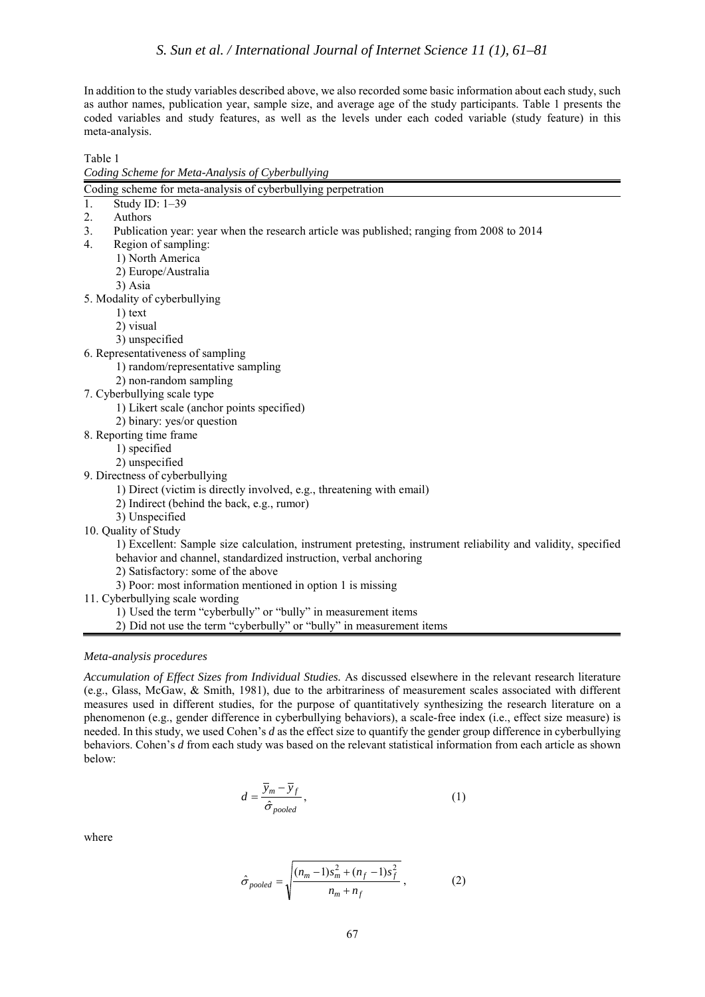In addition to the study variables described above, we also recorded some basic information about each study, such as author names, publication year, sample size, and average age of the study participants. Table 1 presents the coded variables and study features, as well as the levels under each coded variable (study feature) in this meta-analysis.

Table 1 *Coding Scheme for Meta-Analysis of Cyberbullying*

|                                | сбату эспете јог теш тпатум ој субетоштин                                                                    |
|--------------------------------|--------------------------------------------------------------------------------------------------------------|
|                                | Coding scheme for meta-analysis of cyberbullying perpetration                                                |
| 1.<br>Study ID: 1-39           |                                                                                                              |
| Authors<br>2.                  |                                                                                                              |
| 3.                             | Publication year: year when the research article was published; ranging from 2008 to 2014                    |
| 4.                             | Region of sampling:                                                                                          |
| 1) North America               |                                                                                                              |
|                                | 2) Europe/Australia                                                                                          |
| 3) Asia                        |                                                                                                              |
| 5. Modality of cyberbullying   |                                                                                                              |
| $1)$ text                      |                                                                                                              |
| 2) visual                      |                                                                                                              |
| 3) unspecified                 |                                                                                                              |
|                                | 6. Representativeness of sampling                                                                            |
|                                | 1) random/representative sampling                                                                            |
|                                | 2) non-random sampling                                                                                       |
| 7. Cyberbullying scale type    |                                                                                                              |
|                                | 1) Likert scale (anchor points specified)                                                                    |
|                                | 2) binary: yes/or question                                                                                   |
| 8. Reporting time frame        |                                                                                                              |
| 1) specified                   |                                                                                                              |
| 2) unspecified                 |                                                                                                              |
| 9. Directness of cyberbullying |                                                                                                              |
|                                | 1) Direct (victim is directly involved, e.g., threatening with email)                                        |
|                                | 2) Indirect (behind the back, e.g., rumor)                                                                   |
| 3) Unspecified                 |                                                                                                              |
| 10. Quality of Study           |                                                                                                              |
|                                | 1) Excellent: Sample size calculation, instrument pretesting, instrument reliability and validity, specified |
|                                | behavior and channel, standardized instruction, verbal anchoring                                             |
|                                | 2) Satisfactory: some of the above                                                                           |
|                                | 3) Poor: most information mentioned in option 1 is missing                                                   |
|                                | 11. Cyberbullying scale wording                                                                              |
|                                | 1) Used the term "cyberbully" or "bully" in measurement items                                                |
|                                | 2) Did not use the term "cyberbully" or "bully" in measurement items                                         |

## *Meta-analysis procedures*

*Accumulation of Effect Sizes from Individual Studies.* As discussed elsewhere in the relevant research literature (e.g., Glass, McGaw, & Smith, 1981), due to the arbitrariness of measurement scales associated with different measures used in different studies, for the purpose of quantitatively synthesizing the research literature on a phenomenon (e.g., gender difference in cyberbullying behaviors), a scale-free index (i.e., effect size measure) is needed. In this study, we used Cohen's *d* as the effect size to quantify the gender group difference in cyberbullying behaviors. Cohen's *d* from each study was based on the relevant statistical information from each article as shown below:

$$
d = \frac{\overline{y}_m - \overline{y}_f}{\hat{\sigma}_{pooled}},
$$
 (1)

where

$$
\hat{\sigma}_{pooled} = \sqrt{\frac{(n_m - 1)s_m^2 + (n_f - 1)s_f^2}{n_m + n_f}},
$$
\n(2)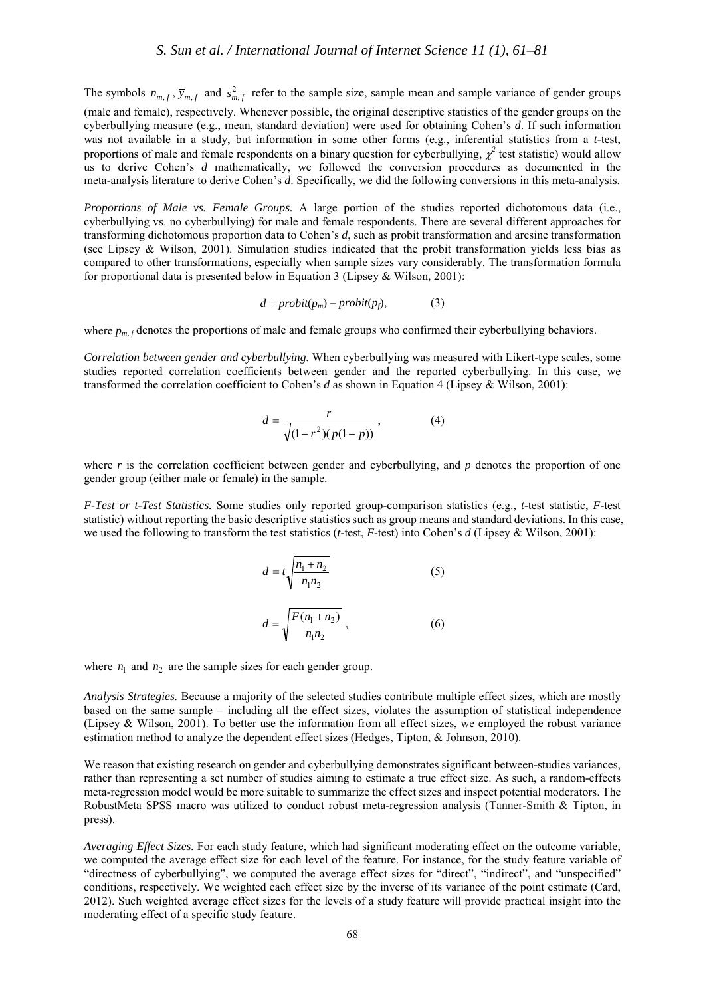The symbols  $n_{m,f}$ ,  $\bar{y}_{m,f}$  and  $s_{m,f}^2$  refer to the sample size, sample mean and sample variance of gender groups (male and female), respectively. Whenever possible, the original descriptive statistics of the gender groups on the cyberbullying measure (e.g., mean, standard deviation) were used for obtaining Cohen's *d*. If such information was not available in a study, but information in some other forms (e.g., inferential statistics from a *t-*test, proportions of male and female respondents on a binary question for cyberbullying,  $\chi^2$  test statistic) would allow us to derive Cohen's *d* mathematically, we followed the conversion procedures as documented in the meta-analysis literature to derive Cohen's *d*. Specifically, we did the following conversions in this meta-analysis.

*Proportions of Male vs. Female Groups.* A large portion of the studies reported dichotomous data (i.e., cyberbullying vs. no cyberbullying) for male and female respondents. There are several different approaches for transforming dichotomous proportion data to Cohen's *d*, such as probit transformation and arcsine transformation (see Lipsey & Wilson, 2001). Simulation studies indicated that the probit transformation yields less bias as compared to other transformations, especially when sample sizes vary considerably. The transformation formula for proportional data is presented below in Equation 3 (Lipsey & Wilson, 2001):

$$
d = probit(p_m) - probit(p_f), \qquad (3)
$$

where  $p_{m,f}$  denotes the proportions of male and female groups who confirmed their cyberbullying behaviors.

*Correlation between gender and cyberbullying.* When cyberbullying was measured with Likert-type scales, some studies reported correlation coefficients between gender and the reported cyberbullying. In this case, we transformed the correlation coefficient to Cohen's *d* as shown in Equation 4 (Lipsey & Wilson, 2001):

$$
d = \frac{r}{\sqrt{(1 - r^2)(p(1 - p))}},
$$
\n(4)

where  $r$  is the correlation coefficient between gender and cyberbullying, and  $p$  denotes the proportion of one gender group (either male or female) in the sample.

*F-Test or t-Test Statistics.* Some studies only reported group-comparison statistics (e.g., *t*-test statistic, *F*-test statistic) without reporting the basic descriptive statistics such as group means and standard deviations. In this case, we used the following to transform the test statistics (*t*-test, *F*-test) into Cohen's *d* (Lipsey & Wilson, 2001):

$$
d = t \sqrt{\frac{n_1 + n_2}{n_1 n_2}} \tag{5}
$$

$$
d = \sqrt{\frac{F(n_1 + n_2)}{n_1 n_2}}\,,\tag{6}
$$

where  $n_1$  and  $n_2$  are the sample sizes for each gender group.

*Analysis Strategies.* Because a majority of the selected studies contribute multiple effect sizes, which are mostly based on the same sample – including all the effect sizes, violates the assumption of statistical independence (Lipsey & Wilson, 2001). To better use the information from all effect sizes, we employed the robust variance estimation method to analyze the dependent effect sizes (Hedges, Tipton, & Johnson, 2010).

We reason that existing research on gender and cyberbullying demonstrates significant between-studies variances, rather than representing a set number of studies aiming to estimate a true effect size. As such, a random-effects meta-regression model would be more suitable to summarize the effect sizes and inspect potential moderators. The RobustMeta SPSS macro was utilized to conduct robust meta-regression analysis (Tanner-Smith & Tipton, in press).

*Averaging Effect Sizes.* For each study feature, which had significant moderating effect on the outcome variable, we computed the average effect size for each level of the feature. For instance, for the study feature variable of "directness of cyberbullying", we computed the average effect sizes for "direct", "indirect", and "unspecified" conditions, respectively. We weighted each effect size by the inverse of its variance of the point estimate (Card, 2012). Such weighted average effect sizes for the levels of a study feature will provide practical insight into the moderating effect of a specific study feature.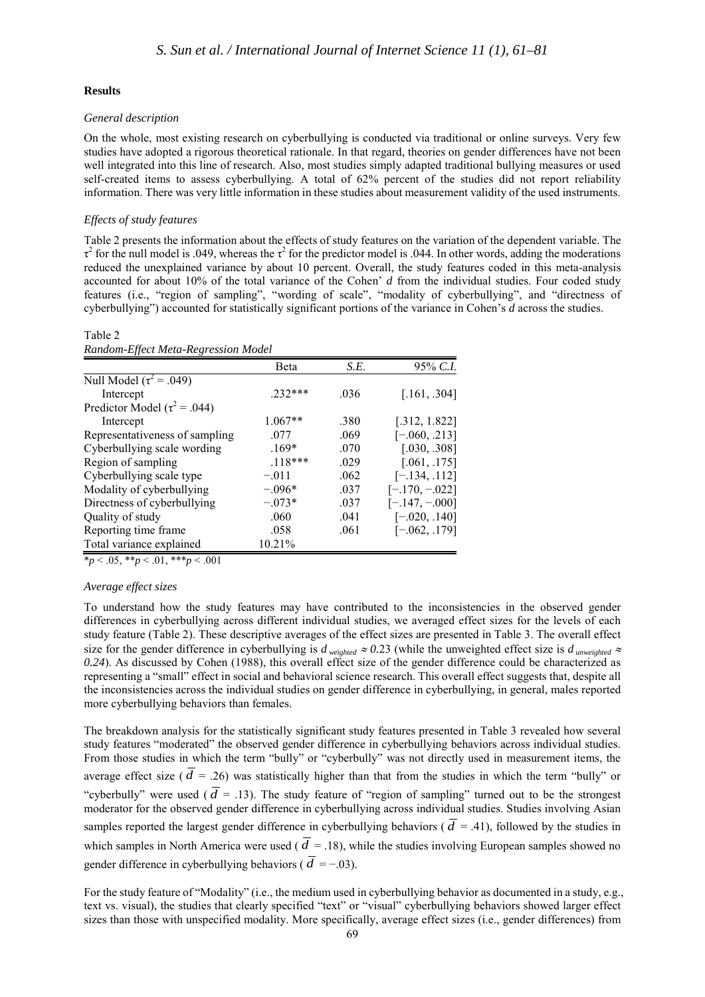#### **Results**

Table 2

#### *General description*

On the whole, most existing research on cyberbullying is conducted via traditional or online surveys. Very few studies have adopted a rigorous theoretical rationale. In that regard, theories on gender differences have not been well integrated into this line of research. Also, most studies simply adapted traditional bullying measures or used self-created items to assess cyberbullying. A total of 62% percent of the studies did not report reliability information. There was very little information in these studies about measurement validity of the used instruments.

#### *Effects of study features*

Table 2 presents the information about the effects of study features on the variation of the dependent variable. The  $\tau^2$  for the null model is .049, whereas the  $\tau^2$  for the predictor model is .044. In other words, adding the moderations reduced the unexplained variance by about 10 percent. Overall, the study features coded in this meta-analysis accounted for about 10% of the total variance of the Cohen' *d* from the individual studies. Four coded study features (i.e., "region of sampling", "wording of scale", "modality of cyberbullying", and "directness of cyberbullying") accounted for statistically significant portions of the variance in Cohen's *d* across the studies.

| Random-Effect Meta-Regression Model |           |      |                  |  |  |  |
|-------------------------------------|-----------|------|------------------|--|--|--|
|                                     | Beta      | S.E. | 95% C.I.         |  |  |  |
| Null Model $(\tau^2 = .049)$        |           |      |                  |  |  |  |
| Intercept                           | 232***    | .036 | [.161, .304]     |  |  |  |
| Predictor Model ( $\tau^2$ = .044)  |           |      |                  |  |  |  |
| Intercept                           | $1.067**$ | .380 | [.312, 1.822]    |  |  |  |
| Representativeness of sampling      | .077      | .069 | $[-.060, .213]$  |  |  |  |
| Cyberbullying scale wording         | $.169*$   | .070 | [.030, .308]     |  |  |  |
| Region of sampling                  | $.118***$ | .029 | [.061, .175]     |  |  |  |
| Cyberbullying scale type            | $-.011$   | .062 | $[-.134, .112]$  |  |  |  |
| Modality of cyberbullying           | $-.096*$  | .037 | $[-.170, -.022]$ |  |  |  |
| Directness of cyberbullying         | $-.073*$  | .037 | $[-.147, -0.00]$ |  |  |  |
| Quality of study                    | .060      | .041 | $[-.020, .140]$  |  |  |  |
| Reporting time frame                | .058      | .061 | $[-.062, .179]$  |  |  |  |
| Total variance explained            | 10.21%    |      |                  |  |  |  |

\**p* < .05, \*\**p* < .01, \*\*\**p* < .001

#### *Average effect sizes*

To understand how the study features may have contributed to the inconsistencies in the observed gender differences in cyberbullying across different individual studies, we averaged effect sizes for the levels of each study feature (Table 2). These descriptive averages of the effect sizes are presented in Table 3. The overall effect size for the gender difference in cyberbullying is  $d_{weighted} \approx 0.23$  (while the unweighted effect size is  $d_{unweighted} \approx$ *0.24*). As discussed by Cohen (1988), this overall effect size of the gender difference could be characterized as representing a "small" effect in social and behavioral science research. This overall effect suggests that, despite all the inconsistencies across the individual studies on gender difference in cyberbullying, in general, males reported more cyberbullying behaviors than females.

The breakdown analysis for the statistically significant study features presented in Table 3 revealed how several study features "moderated" the observed gender difference in cyberbullying behaviors across individual studies. From those studies in which the term "bully" or "cyberbully" was not directly used in measurement items, the average effect size ( $\overline{d}$  = .26) was statistically higher than that from the studies in which the term "bully" or "cyberbully" were used ( $\overline{d}$  = .13). The study feature of "region of sampling" turned out to be the strongest moderator for the observed gender difference in cyberbullying across individual studies. Studies involving Asian samples reported the largest gender difference in cyberbullying behaviors ( $\overline{d}$  = .41), followed by the studies in which samples in North America were used ( $\overline{d}$  = .18), while the studies involving European samples showed no gender difference in cyberbullying behaviors ( $\overline{d} = -0.03$ ).

For the study feature of "Modality" (i.e., the medium used in cyberbullying behavior as documented in a study, e.g., text vs. visual), the studies that clearly specified "text" or "visual" cyberbullying behaviors showed larger effect sizes than those with unspecified modality. More specifically, average effect sizes (i.e., gender differences) from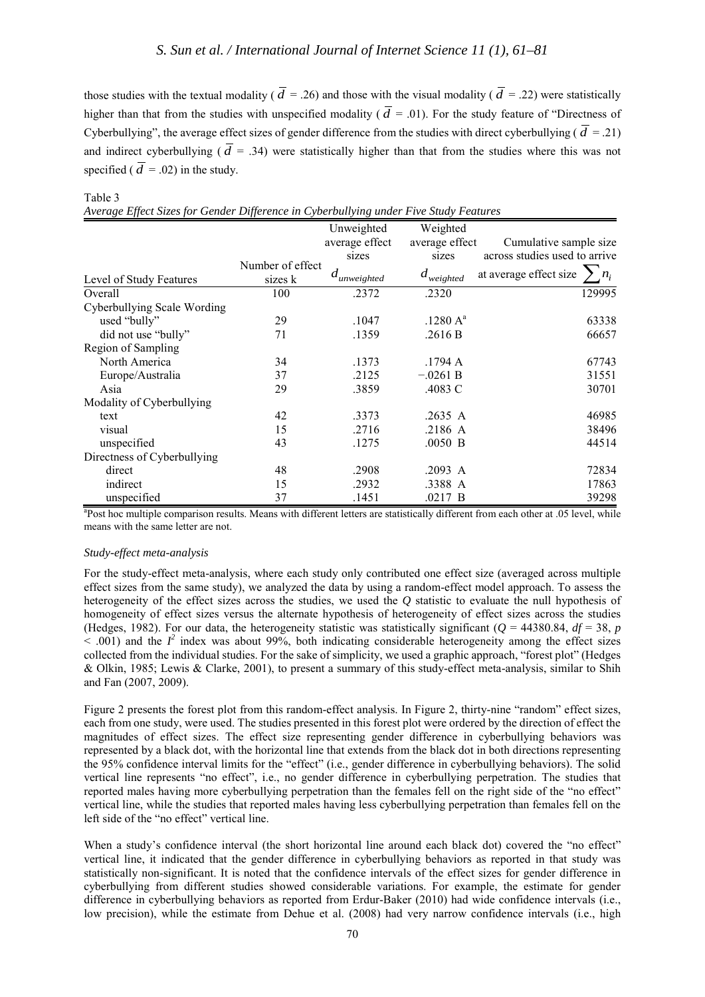those studies with the textual modality ( $\overline{d}$  = .26) and those with the visual modality ( $\overline{d}$  = .22) were statistically higher than that from the studies with unspecified modality ( $\overline{d}$  = .01). For the study feature of "Directness of Cyberbullying", the average effect sizes of gender difference from the studies with direct cyberbullying ( $\overline{d}$  = .21) and indirect cyberbullying ( $\overline{d}$  = .34) were statistically higher than that from the studies where this was not specified ( $\overline{d}$  = .02) in the study.

#### Table 3

|  |  |  |  |  |  | Average Effect Sizes for Gender Difference in Cyberbullying under Five Study Features |  |  |  |  |
|--|--|--|--|--|--|---------------------------------------------------------------------------------------|--|--|--|--|
|--|--|--|--|--|--|---------------------------------------------------------------------------------------|--|--|--|--|

|                             |                  | Unweighted       | Weighted             |                                 |  |  |
|-----------------------------|------------------|------------------|----------------------|---------------------------------|--|--|
|                             |                  | average effect   | average effect       | Cumulative sample size          |  |  |
|                             |                  | sizes            | sizes                | across studies used to arrive   |  |  |
|                             | Number of effect | $d_{unweighted}$ | $d_{weighted}$       | at average effect size<br>$n_i$ |  |  |
| Level of Study Features     | sizes k          |                  |                      |                                 |  |  |
| Overall                     | 100              | .2372            | .2320                | 129995                          |  |  |
| Cyberbullying Scale Wording |                  |                  |                      |                                 |  |  |
| used "bully"                | 29               | .1047            | .1280 A <sup>a</sup> | 63338                           |  |  |
| did not use "bully"         | 71               | .1359            | .2616 B              | 66657                           |  |  |
| Region of Sampling          |                  |                  |                      |                                 |  |  |
| North America               | 34               | .1373            | .1794 A              | 67743                           |  |  |
| Europe/Australia            | 37               | .2125            | $-.0261 B$           | 31551                           |  |  |
| Asia                        | 29               | .3859            | .4083 C              | 30701                           |  |  |
| Modality of Cyberbullying   |                  |                  |                      |                                 |  |  |
| text                        | 42               | .3373            | .2635 A              | 46985                           |  |  |
| visual                      | 15               | .2716            | .2186 A              | 38496                           |  |  |
| unspecified                 | 43               | .1275            | $.0050$ B            | 44514                           |  |  |
| Directness of Cyberbullying |                  |                  |                      |                                 |  |  |
| direct                      | 48               | .2908            | .2093 A              | 72834                           |  |  |
| indirect                    | 15               | .2932            | .3388 A              | 17863                           |  |  |
| unspecified                 | 37               | .1451            | .0217 B              | 39298                           |  |  |

<sup>a</sup>Post hoc multiple comparison results. Means with different letters are statistically different from each other at .05 level, while means with the same letter are not.

#### *Study-effect meta-analysis*

For the study-effect meta-analysis, where each study only contributed one effect size (averaged across multiple effect sizes from the same study), we analyzed the data by using a random-effect model approach. To assess the heterogeneity of the effect sizes across the studies, we used the *Q* statistic to evaluate the null hypothesis of homogeneity of effect sizes versus the alternate hypothesis of heterogeneity of effect sizes across the studies (Hedges, 1982). For our data, the heterogeneity statistic was statistically significant ( $Q = 44380.84$ ,  $df = 38$ , *p*  $\leq$  .001) and the  $I^2$  index was about 99%, both indicating considerable heterogeneity among the effect sizes collected from the individual studies. For the sake of simplicity, we used a graphic approach, "forest plot" (Hedges & Olkin, 1985; Lewis & Clarke, 2001), to present a summary of this study-effect meta-analysis, similar to Shih and Fan (2007, 2009).

Figure 2 presents the forest plot from this random-effect analysis. In Figure 2, thirty-nine "random" effect sizes, each from one study, were used. The studies presented in this forest plot were ordered by the direction of effect the magnitudes of effect sizes. The effect size representing gender difference in cyberbullying behaviors was represented by a black dot, with the horizontal line that extends from the black dot in both directions representing the 95% confidence interval limits for the "effect" (i.e., gender difference in cyberbullying behaviors). The solid vertical line represents "no effect", i.e., no gender difference in cyberbullying perpetration. The studies that reported males having more cyberbullying perpetration than the females fell on the right side of the "no effect" vertical line, while the studies that reported males having less cyberbullying perpetration than females fell on the left side of the "no effect" vertical line.

When a study's confidence interval (the short horizontal line around each black dot) covered the "no effect" vertical line, it indicated that the gender difference in cyberbullying behaviors as reported in that study was statistically non-significant. It is noted that the confidence intervals of the effect sizes for gender difference in cyberbullying from different studies showed considerable variations. For example, the estimate for gender difference in cyberbullying behaviors as reported from Erdur-Baker (2010) had wide confidence intervals (i.e., low precision), while the estimate from Dehue et al. (2008) had very narrow confidence intervals (i.e., high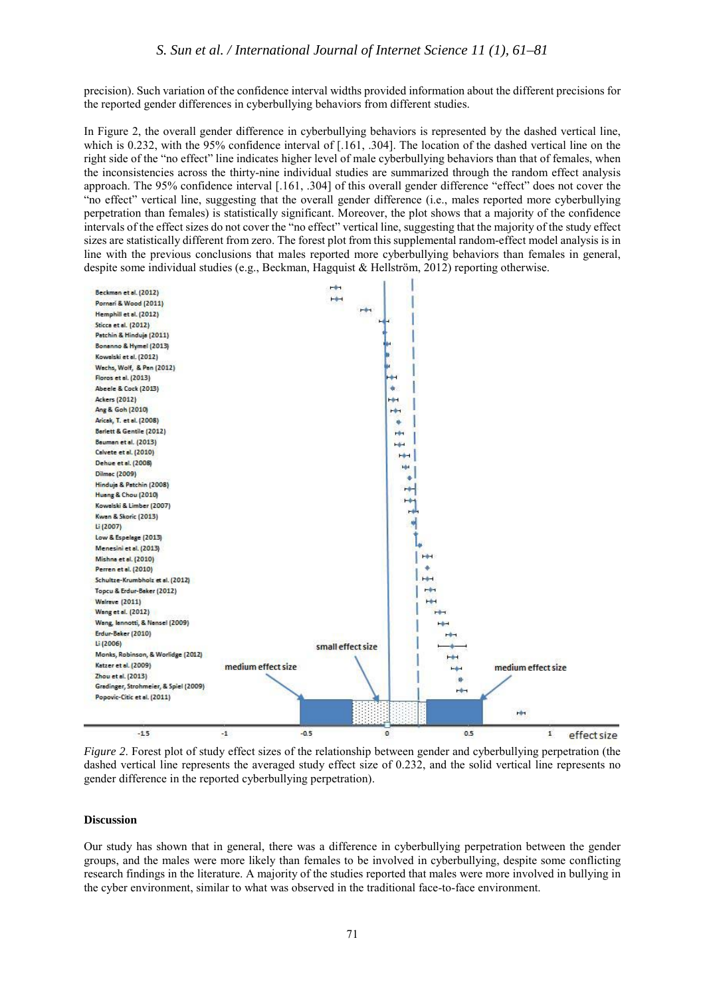precision). Such variation of the confidence interval widths provided information about the different precisions for the reported gender differences in cyberbullying behaviors from different studies.

In Figure 2, the overall gender difference in cyberbullying behaviors is represented by the dashed vertical line, which is 0.232, with the 95% confidence interval of [.161, .304]. The location of the dashed vertical line on the right side of the "no effect" line indicates higher level of male cyberbullying behaviors than that of females, when the inconsistencies across the thirty-nine individual studies are summarized through the random effect analysis approach. The 95% confidence interval [.161, .304] of this overall gender difference "effect" does not cover the "no effect" vertical line, suggesting that the overall gender difference (i.e., males reported more cyberbullying perpetration than females) is statistically significant. Moreover, the plot shows that a majority of the confidence intervals of the effect sizes do not cover the "no effect" vertical line, suggesting that the majority of the study effect sizes are statistically different from zero. The forest plot from this supplemental random-effect model analysis is in line with the previous conclusions that males reported more cyberbullying behaviors than females in general, despite some individual studies (e.g., Beckman, Hagquist & Hellström, 2012) reporting otherwise.



*Figure 2*. Forest plot of study effect sizes of the relationship between gender and cyberbullying perpetration (the dashed vertical line represents the averaged study effect size of 0.232, and the solid vertical line represents no gender difference in the reported cyberbullying perpetration).

## **Discussion**

Our study has shown that in general, there was a difference in cyberbullying perpetration between the gender groups, and the males were more likely than females to be involved in cyberbullying, despite some conflicting research findings in the literature. A majority of the studies reported that males were more involved in bullying in the cyber environment, similar to what was observed in the traditional face-to-face environment.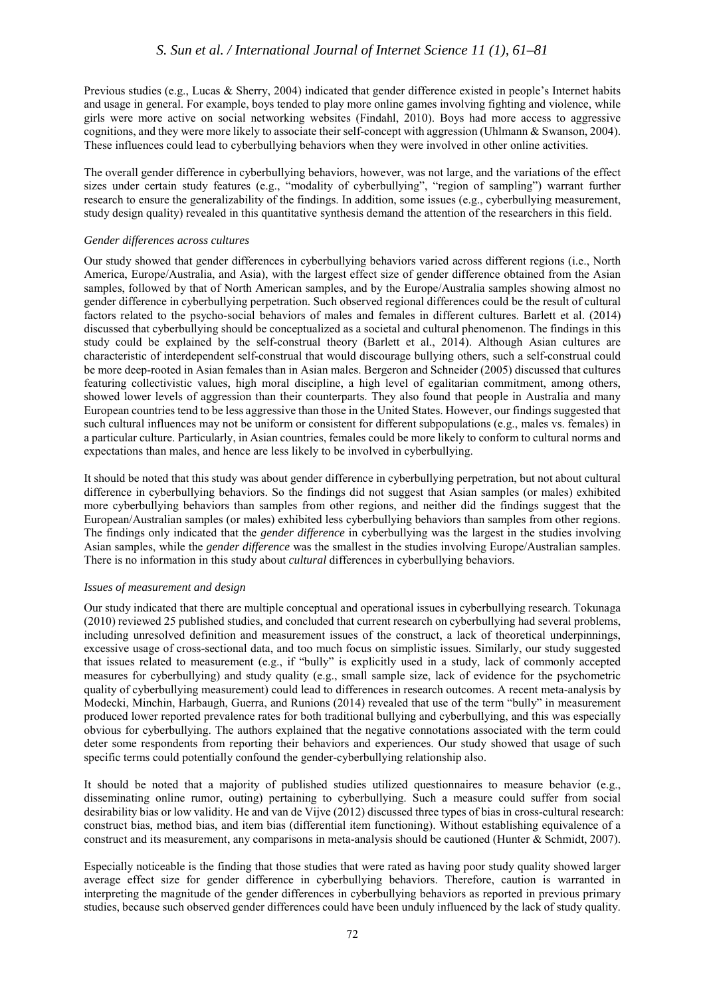Previous studies (e.g., Lucas & Sherry, 2004) indicated that gender difference existed in people's Internet habits and usage in general. For example, boys tended to play more online games involving fighting and violence, while girls were more active on social networking websites (Findahl, 2010). Boys had more access to aggressive cognitions, and they were more likely to associate their self-concept with aggression (Uhlmann & Swanson, 2004). These influences could lead to cyberbullying behaviors when they were involved in other online activities.

The overall gender difference in cyberbullying behaviors, however, was not large, and the variations of the effect sizes under certain study features (e.g., "modality of cyberbullying", "region of sampling") warrant further research to ensure the generalizability of the findings. In addition, some issues (e.g., cyberbullying measurement, study design quality) revealed in this quantitative synthesis demand the attention of the researchers in this field.

## *Gender differences across cultures*

Our study showed that gender differences in cyberbullying behaviors varied across different regions (i.e., North America, Europe/Australia, and Asia), with the largest effect size of gender difference obtained from the Asian samples, followed by that of North American samples, and by the Europe/Australia samples showing almost no gender difference in cyberbullying perpetration. Such observed regional differences could be the result of cultural factors related to the psycho-social behaviors of males and females in different cultures. Barlett et al. (2014) discussed that cyberbullying should be conceptualized as a societal and cultural phenomenon. The findings in this study could be explained by the self-construal theory (Barlett et al., 2014). Although Asian cultures are characteristic of interdependent self-construal that would discourage bullying others, such a self-construal could be more deep-rooted in Asian females than in Asian males. Bergeron and Schneider (2005) discussed that cultures featuring collectivistic values, high moral discipline, a high level of egalitarian commitment, among others, showed lower levels of aggression than their counterparts. They also found that people in Australia and many European countries tend to be less aggressive than those in the United States. However, our findings suggested that such cultural influences may not be uniform or consistent for different subpopulations (e.g., males vs. females) in a particular culture. Particularly, in Asian countries, females could be more likely to conform to cultural norms and expectations than males, and hence are less likely to be involved in cyberbullying.

It should be noted that this study was about gender difference in cyberbullying perpetration, but not about cultural difference in cyberbullying behaviors. So the findings did not suggest that Asian samples (or males) exhibited more cyberbullying behaviors than samples from other regions, and neither did the findings suggest that the European/Australian samples (or males) exhibited less cyberbullying behaviors than samples from other regions. The findings only indicated that the *gender difference* in cyberbullying was the largest in the studies involving Asian samples, while the *gender difference* was the smallest in the studies involving Europe/Australian samples. There is no information in this study about *cultural* differences in cyberbullying behaviors.

## *Issues of measurement and design*

Our study indicated that there are multiple conceptual and operational issues in cyberbullying research. Tokunaga (2010) reviewed 25 published studies, and concluded that current research on cyberbullying had several problems, including unresolved definition and measurement issues of the construct, a lack of theoretical underpinnings, excessive usage of cross-sectional data, and too much focus on simplistic issues. Similarly, our study suggested that issues related to measurement (e.g., if "bully" is explicitly used in a study, lack of commonly accepted measures for cyberbullying) and study quality (e.g., small sample size, lack of evidence for the psychometric quality of cyberbullying measurement) could lead to differences in research outcomes. A recent meta-analysis by Modecki, Minchin, Harbaugh, Guerra, and Runions (2014) revealed that use of the term "bully" in measurement produced lower reported prevalence rates for both traditional bullying and cyberbullying, and this was especially obvious for cyberbullying. The authors explained that the negative connotations associated with the term could deter some respondents from reporting their behaviors and experiences. Our study showed that usage of such specific terms could potentially confound the gender-cyberbullying relationship also.

It should be noted that a majority of published studies utilized questionnaires to measure behavior (e.g., disseminating online rumor, outing) pertaining to cyberbullying. Such a measure could suffer from social desirability bias or low validity. He and van de Vijve (2012) discussed three types of bias in cross-cultural research: construct bias, method bias, and item bias (differential item functioning). Without establishing equivalence of a construct and its measurement, any comparisons in meta-analysis should be cautioned (Hunter & Schmidt, 2007).

Especially noticeable is the finding that those studies that were rated as having poor study quality showed larger average effect size for gender difference in cyberbullying behaviors. Therefore, caution is warranted in interpreting the magnitude of the gender differences in cyberbullying behaviors as reported in previous primary studies, because such observed gender differences could have been unduly influenced by the lack of study quality.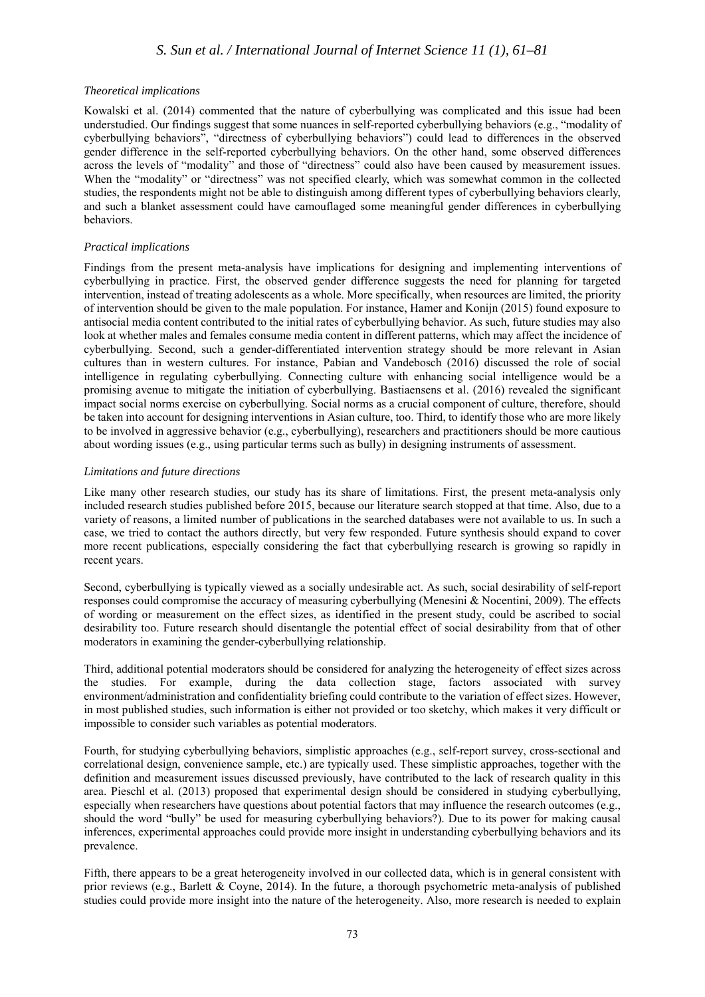# *S. Sun et al. / International Journal of Internet Science 11 (1), 61–81*

#### *Theoretical implications*

Kowalski et al. (2014) commented that the nature of cyberbullying was complicated and this issue had been understudied. Our findings suggest that some nuances in self-reported cyberbullying behaviors (e.g., "modality of cyberbullying behaviors", "directness of cyberbullying behaviors") could lead to differences in the observed gender difference in the self-reported cyberbullying behaviors. On the other hand, some observed differences across the levels of "modality" and those of "directness" could also have been caused by measurement issues. When the "modality" or "directness" was not specified clearly, which was somewhat common in the collected studies, the respondents might not be able to distinguish among different types of cyberbullying behaviors clearly, and such a blanket assessment could have camouflaged some meaningful gender differences in cyberbullying behaviors.

## *Practical implications*

Findings from the present meta-analysis have implications for designing and implementing interventions of cyberbullying in practice. First, the observed gender difference suggests the need for planning for targeted intervention, instead of treating adolescents as a whole. More specifically, when resources are limited, the priority of intervention should be given to the male population. For instance, Hamer and Konijn (2015) found exposure to antisocial media content contributed to the initial rates of cyberbullying behavior. As such, future studies may also look at whether males and females consume media content in different patterns, which may affect the incidence of cyberbullying. Second, such a gender-differentiated intervention strategy should be more relevant in Asian cultures than in western cultures. For instance, Pabian and Vandebosch (2016) discussed the role of social intelligence in regulating cyberbullying. Connecting culture with enhancing social intelligence would be a promising avenue to mitigate the initiation of cyberbullying. Bastiaensens et al. (2016) revealed the significant impact social norms exercise on cyberbullying. Social norms as a crucial component of culture, therefore, should be taken into account for designing interventions in Asian culture, too. Third, to identify those who are more likely to be involved in aggressive behavior (e.g., cyberbullying), researchers and practitioners should be more cautious about wording issues (e.g., using particular terms such as bully) in designing instruments of assessment.

#### *Limitations and future directions*

Like many other research studies, our study has its share of limitations. First, the present meta-analysis only included research studies published before 2015, because our literature search stopped at that time. Also, due to a variety of reasons, a limited number of publications in the searched databases were not available to us. In such a case, we tried to contact the authors directly, but very few responded. Future synthesis should expand to cover more recent publications, especially considering the fact that cyberbullying research is growing so rapidly in recent years.

Second, cyberbullying is typically viewed as a socially undesirable act. As such, social desirability of self-report responses could compromise the accuracy of measuring cyberbullying (Menesini & Nocentini, 2009). The effects of wording or measurement on the effect sizes, as identified in the present study, could be ascribed to social desirability too. Future research should disentangle the potential effect of social desirability from that of other moderators in examining the gender-cyberbullying relationship.

Third, additional potential moderators should be considered for analyzing the heterogeneity of effect sizes across the studies. For example, during the data collection stage, factors associated with survey environment/administration and confidentiality briefing could contribute to the variation of effect sizes. However, in most published studies, such information is either not provided or too sketchy, which makes it very difficult or impossible to consider such variables as potential moderators.

Fourth, for studying cyberbullying behaviors, simplistic approaches (e.g., self-report survey, cross-sectional and correlational design, convenience sample, etc.) are typically used. These simplistic approaches, together with the definition and measurement issues discussed previously, have contributed to the lack of research quality in this area. Pieschl et al. (2013) proposed that experimental design should be considered in studying cyberbullying, especially when researchers have questions about potential factors that may influence the research outcomes (e.g., should the word "bully" be used for measuring cyberbullying behaviors?). Due to its power for making causal inferences, experimental approaches could provide more insight in understanding cyberbullying behaviors and its prevalence.

Fifth, there appears to be a great heterogeneity involved in our collected data, which is in general consistent with prior reviews (e.g., Barlett & Coyne, 2014). In the future, a thorough psychometric meta-analysis of published studies could provide more insight into the nature of the heterogeneity. Also, more research is needed to explain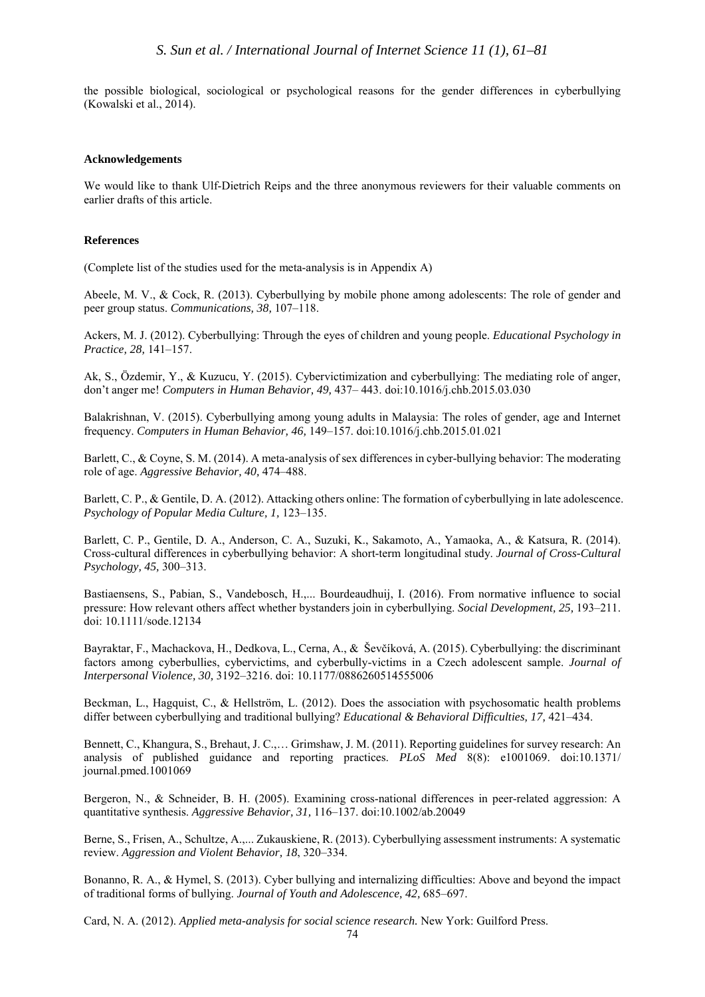the possible biological, sociological or psychological reasons for the gender differences in cyberbullying (Kowalski et al., 2014).

#### **Acknowledgements**

We would like to thank Ulf-Dietrich Reips and the three anonymous reviewers for their valuable comments on earlier drafts of this article.

#### **References**

(Complete list of the studies used for the meta-analysis is in Appendix A)

Abeele, M. V., & Cock, R. (2013). Cyberbullying by mobile phone among adolescents: The role of gender and peer group status. *Communications, 38,* 107–118.

Ackers, M. J. (2012). Cyberbullying: Through the eyes of children and young people. *Educational Psychology in Practice, 28,* 141–157.

Ak, S., Özdemir, Y., & Kuzucu, Y. (2015). Cybervictimization and cyberbullying: The mediating role of anger, don't anger me! *Computers in Human Behavior, 49,* 437– 443. [doi:10.1016/j.chb.2015.03.030](http://dx.doi.org/10.1016/j.chb.2015.03.030)

Balakrishnan, V. (2015). Cyberbullying among young adults in Malaysia: The roles of gender, age and Internet frequency. *Computers in Human Behavior, 46,* 149–157. [doi:10.1016/j.chb.2015.01.021](http://dx.doi.org/10.1016/j.chb.2015.01.021)

Barlett, C., & Coyne, S. M. (2014). A meta-analysis of sex differences in cyber-bullying behavior: The moderating role of age. *Aggressive Behavior, 40,* 474–488.

Barlett, C. P., & Gentile, D. A. (2012). Attacking others online: The formation of cyberbullying in late adolescence. *Psychology of Popular Media Culture, 1,* 123–135.

Barlett, C. P., Gentile, D. A., Anderson, C. A., Suzuki, K., Sakamoto, A., Yamaoka, A., & Katsura, R. (2014). Cross-cultural differences in cyberbullying behavior: A short-term longitudinal study. *Journal of Cross-Cultural Psychology, 45,* 300–313.

Bastiaensens, S., Pabian, S., Vandebosch, H.,... Bourdeaudhuij, I. (2016). From normative influence to social pressure: How relevant others affect whether bystanders join in cyberbullying. *Social Development, 25,* 193–211. [doi: 10.1111/sode.12134](http://dx.doi.org/10.1111/sode.12134)

Bayraktar, F., Machackova, H., Dedkova, L., Cerna, A., & Ševčíková, A. (2015). Cyberbullying: the discriminant factors among cyberbullies, cybervictims, and cyberbully-victims in a Czech adolescent sample. *Journal of Interpersonal Violence, 30,* 3192–3216. [doi: 10.1177/0886260514555006](http://dx.doi.org/10.1177/0886260514555006)

Beckman, L., Hagquist, C., & Hellström, L. (2012). Does the association with psychosomatic health problems differ between cyberbullying and traditional bullying? *Educational & Behavioral Difficulties, 17,* 421–434.

Bennett, C., Khangura, S., Brehaut, J. C.,… Grimshaw, J. M. (2011). Reporting guidelines for survey research: An analysis of published guidance and reporting practices. *PLoS Med* 8(8): e1001069. [doi:10.1371/](http://dx.doi.org/10.1371/journal.pmed.1001069) [journal.pmed.1001069](http://dx.doi.org/10.1371/journal.pmed.1001069) 

Bergeron, N., & Schneider, B. H. (2005). Examining cross-national differences in peer-related aggression: A quantitative synthesis. *Aggressive Behavior, 31,* 116–137[. doi:10.1002/ab.20049](http://dx.doi.org/10.1002/ab.20049)

Berne, S., Frisen, A., Schultze, A.,... Zukauskiene, R. (2013). Cyberbullying assessment instruments: A systematic review. *Aggression and Violent Behavior, 18*, 320–334.

Bonanno, R. A., & Hymel, S. (2013). Cyber bullying and internalizing difficulties: Above and beyond the impact of traditional forms of bullying. *Journal of Youth and Adolescence, 42,* 685–697.

Card, N. A. (2012). *Applied meta-analysis for social science research.* New York: Guilford Press.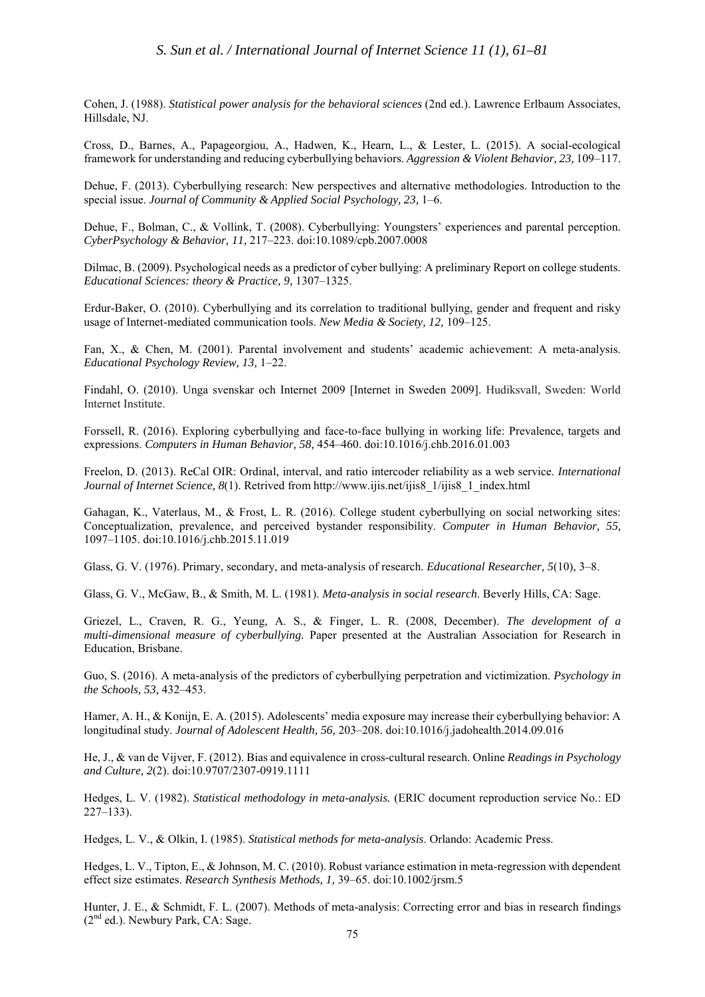Cohen, J. (1988). *Statistical power analysis for the behavioral sciences* (2nd ed.). Lawrence Erlbaum Associates, Hillsdale, NJ.

Cross, D., Barnes, A., Papageorgiou, A., Hadwen, K., Hearn, L., & Lester, L. (2015). A social-ecological framework for understanding and reducing cyberbullying behaviors. *Aggression & Violent Behavior, 23,* 109–117.

Dehue, F. (2013). Cyberbullying research: New perspectives and alternative methodologies. Introduction to the special issue. *Journal of Community & Applied Social Psychology, 23,* 1–6.

Dehue, F., Bolman, C., & Vollink, T. (2008). Cyberbullying: Youngsters' experiences and parental perception. *CyberPsychology & Behavior, 11,* 217–223. [doi:10.1089/cpb.2007.0008](http://dx.doi.org/10.1089/cpb.2007.0008)

Dilmac, B. (2009). Psychological needs as a predictor of cyber bullying: A preliminary Report on college students. *Educational Sciences: theory & Practice, 9,* 1307–1325.

Erdur-Baker, O. (2010). Cyberbullying and its correlation to traditional bullying, gender and frequent and risky usage of Internet-mediated communication tools. *New Media & Society, 12,* 109–125.

Fan, X., & Chen, M. (2001). Parental involvement and students' academic achievement: A meta-analysis. *Educational Psychology Review, 13,* 1–22.

Findahl, O. (2010). Unga svenskar och Internet 2009 [Internet in Sweden 2009]. Hudiksvall, Sweden: World Internet Institute.

Forssell, R. (2016). Exploring cyberbullying and face-to-face bullying in working life: Prevalence, targets and expressions. *Computers in Human Behavior, 58,* 454–460. [doi:10.1016/j.chb.2016.01.003](http://dx.doi.org/10.1016/j.chb.2016.01.003)

Freelon, D. (2013). ReCal OIR: Ordinal, interval, and ratio intercoder reliability as a web service. *International Journal of Internet Science, 8*(1). Retrived from http://www.ijis.net/ijis8\_1/ijis8\_1\_index.html

Gahagan, K., Vaterlaus, M., & Frost, L. R. (2016). College student cyberbullying on social networking sites: Conceptualization, prevalence, and perceived bystander responsibility. *Computer in Human Behavior, 55,*  1097–1105[. doi:10.1016/j.chb.2015.11.019](http://dx.doi.org/10.1016/j.chb.2015.11.019)

Glass, G. V. (1976). Primary, secondary, and meta-analysis of research. *Educational Researcher, 5*(10), 3–8.

Glass, G. V., McGaw, B., & Smith, M. L. (1981). *Meta-analysis in social research*. Beverly Hills, CA: Sage.

Griezel, L., Craven, R. G., Yeung, A. S., & Finger, L. R. (2008, December). *The development of a multi-dimensional measure of cyberbullying.* Paper presented at the Australian Association for Research in Education, Brisbane.

Guo, S. (2016). A meta-analysis of the predictors of cyberbullying perpetration and victimization. *Psychology in the Schools, 53,* 432–453.

Hamer, A. H., & Konijn, E. A. (2015). Adolescents' media exposure may increase their cyberbullying behavior: A longitudinal study. *Journal of Adolescent Health, 56,* 203–208. [doi:10.1016/j.jadohealth.2014.09.016](http://dx.doi.org/10.1016/j.jadohealth.2014.09.016)

He, J., & van de Vijver, F. (2012). Bias and equivalence in cross-cultural research. Online *Readings in Psychology and Culture, 2*(2)[. doi:10.9707/2307-0919.1111](http://dx.doi.org/10.9707/2307-0919.1111)

Hedges, L. V. (1982). *Statistical methodology in meta-analysis.* (ERIC document reproduction service No.: ED 227–133).

Hedges, L. V., & Olkin, I. (1985). *Statistical methods for meta-analysis*. Orlando: Academic Press.

Hedges, L. V., Tipton, E., & Johnson, M. C. (2010). Robust variance estimation in meta-regression with dependent effect size estimates. *Research Synthesis Methods, 1,* 39–65. [doi:10.1002/jrsm.5](http://dx.doi.org/10.1002/jrsm.5)

Hunter, J. E., & Schmidt, F. L. (2007). Methods of meta-analysis: Correcting error and bias in research findings  $(2<sup>nd</sup>$  ed.). Newbury Park, CA: Sage.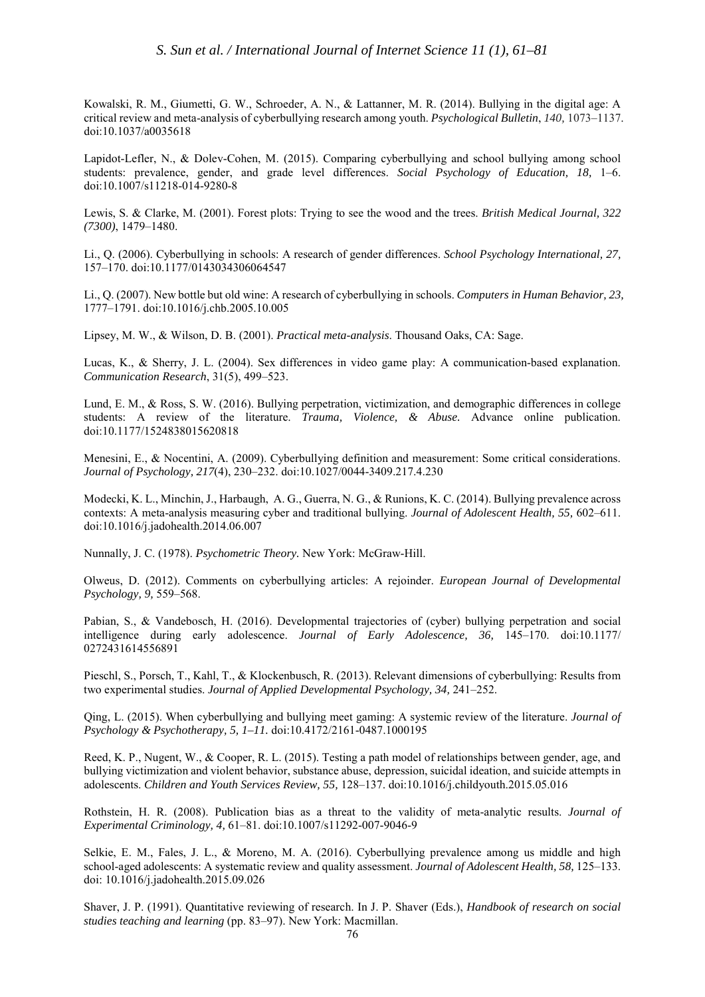Kowalski, R. M., Giumetti, G. W., Schroeder, A. N., & Lattanner, M. R. (2014). Bullying in the digital age: A critical review and meta-analysis of cyberbullying research among youth. *Psychological Bulletin*, *140,* 1073–1137. [doi:10.1037/a0035618](http://dx.doi.org/10.1037/a0035618)

Lapidot-Lefler, N., & Dolev-Cohen, M. (2015). Comparing cyberbullying and school bullying among school students: prevalence, gender, and grade level differences. *Social Psychology of Education, 18,* 1–6. [doi:10.1007/s11218-014-9280-8](http://dx.doi.org/10.1007/s11218-014-9280-8)

Lewis, S. & Clarke, M. (2001). Forest plots: Trying to see the wood and the trees. *British Medical Journal, 322 (7300)*, 1479–1480.

Li., Q. (2006). Cyberbullying in schools: A research of gender differences. *School Psychology International, 27,*  157–170. [doi:10.1177/0143034306064547](http://dx.doi.org/10.1177/0143034306064547)

Li., Q. (2007). New bottle but old wine: A research of cyberbullying in schools. *Computers in Human Behavior, 23,* 1777–1791. [doi:10.1016/j.chb.2005.10.005](http://dx.doi.org/10.1016/j.chb.2005.10.005)

Lipsey, M. W., & Wilson, D. B. (2001). *Practical meta-analysis*. Thousand Oaks, CA: Sage.

Lucas, K., & Sherry, J. L. (2004). Sex differences in video game play: A communication-based explanation. *Communication Research*, 31(5), 499–523.

Lund, E. M., & Ross, S. W. (2016). Bullying perpetration, victimization, and demographic differences in college students: A review of the literature. *Trauma, Violence, & Abuse.* Advance online publication. [doi:10.1177/1524838015620818](http://dx.doi.org/10.1177/1524838015620818)

Menesini, E., & Nocentini, A. (2009). Cyberbullying definition and measurement: Some critical considerations. *Journal of Psychology, 217*(4), 230–232. [doi:10.1027/0044-3409.217.4.230](http://dx.doi.org/10.1027/0044-3409.217.4.230)

Modecki, K. L., Minchin, J., Harbaugh, A. G., Guerra, N. G., & Runions, K. C. (2014). Bullying prevalence across contexts: A meta-analysis measuring cyber and traditional bullying. *Journal of Adolescent Health, 55,* 602–611. [doi:10.1016/j.jadohealth.2014.06.007](http://dx.doi.org/10.1016/j.jadohealth.2014.06.007)

Nunnally, J. C. (1978). *Psychometric Theory.* New York: McGraw-Hill.

Olweus, D. (2012). Comments on cyberbullying articles: A rejoinder. *European Journal of Developmental Psychology, 9,* 559–568.

Pabian, S., & Vandebosch, H. (2016). Developmental trajectories of (cyber) bullying perpetration and social intelligence during early adolescence. *Journal of Early Adolescence, 36,* 145–170. [doi:10.1177/](http://dx.doi.org/10.1177/0272431614556891) [0272431614556891](http://dx.doi.org/10.1177/0272431614556891)

Pieschl, S., Porsch, T., Kahl, T., & Klockenbusch, R. (2013). Relevant dimensions of cyberbullying: Results from two experimental studies. *Journal of Applied Developmental Psychology, 34,* 241–252.

Qing, L. (2015). When cyberbullying and bullying meet gaming: A systemic review of the literature. *Journal of Psychology & Psychotherapy, 5, 1–11.* [doi:10.4172/2161-0487.1000195](http://dx.doi.org/10.4172/2161-0487.1000195)

Reed, K. P., Nugent, W., & Cooper, R. L. (2015). Testing a path model of relationships between gender, age, and bullying victimization and violent behavior, substance abuse, depression, suicidal ideation, and suicide attempts in adolescents. *Children and Youth Services Review, 55,* 128–137. [doi:10.1016/j.childyouth.2015.05.016](http://dx.doi.org/10.1016/j.childyouth.2015.05.016)

Rothstein, H. R. (2008). Publication bias as a threat to the validity of meta-analytic results. *Journal of Experimental Criminology, 4,* 61–81. [doi:10.1007/s11292-007-9046-9](http://dx.doi.org/10.1007/s11292-007-9046-9) 

Selkie, E. M., Fales, J. L., & Moreno, M. A. (2016). Cyberbullying prevalence among us middle and high school-aged adolescents: A systematic review and quality assessment. *Journal of Adolescent Health, 58,* 125–133. [doi: 10.1016/j.jadohealth.2015.09.026](http://dx.doi.org/10.1016/j.jadohealth.2015.09.026)

Shaver, J. P. (1991). Quantitative reviewing of research. In J. P. Shaver (Eds.), *Handbook of research on social studies teaching and learning* (pp. 83–97). New York: Macmillan.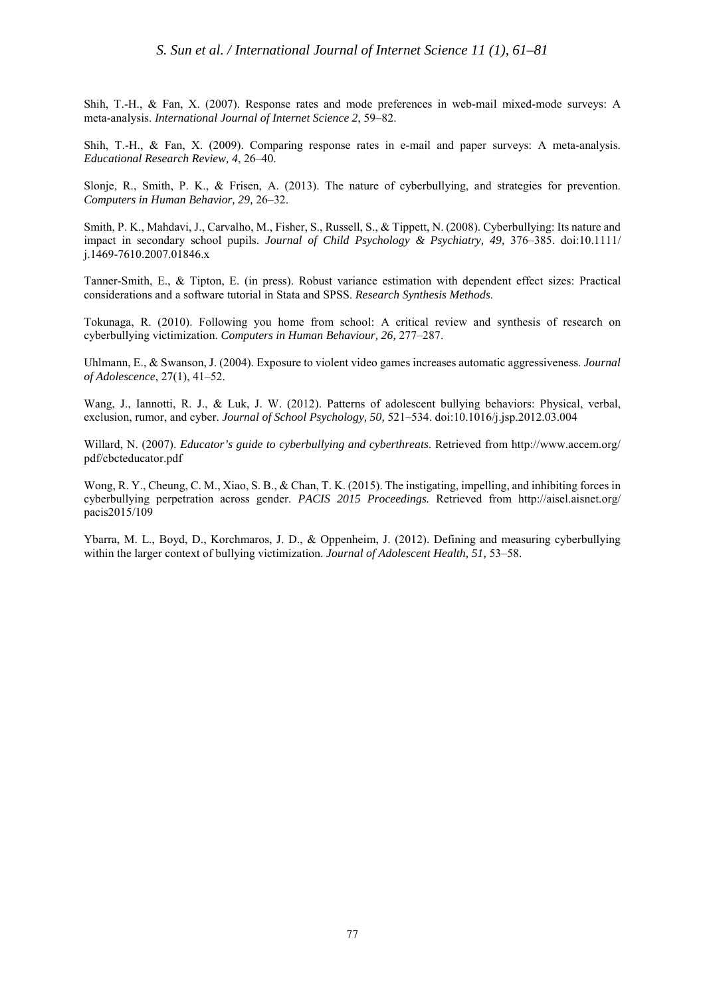Shih, T.-H., & Fan, X. (2007). Response rates and mode preferences in web-mail mixed-mode surveys: A meta-analysis. *International Journal of Internet Science 2*, 59–82.

Shih, T.-H., & Fan, X. (2009). Comparing response rates in e-mail and paper surveys: A meta-analysis. *Educational Research Review, 4*, 26–40.

Slonje, R., Smith, P. K., & Frisen, A. (2013). The nature of cyberbullying, and strategies for prevention. *Computers in Human Behavior, 29,* 26–32.

Smith, P. K., Mahdavi, J., Carvalho, M., Fisher, S., Russell, S., & Tippett, N. (2008). Cyberbullying: Its nature and impact in secondary school pupils. *Journal of Child Psychology & Psychiatry, 49,* 376–385. [doi:10.1111/](http://dx.doi.org/10.1111/j.1469-7610.2007.01846.x) [j.1469-7610.2007.01846.x](http://dx.doi.org/10.1111/j.1469-7610.2007.01846.x)

Tanner-Smith, E., & Tipton, E. (in press). Robust variance estimation with dependent effect sizes: Practical considerations and a software tutorial in Stata and SPSS. *Research Synthesis Methods*.

Tokunaga, R. (2010). Following you home from school: A critical review and synthesis of research on cyberbullying victimization. *Computers in Human Behaviour, 26,* 277–287.

Uhlmann, E., & Swanson, J. (2004). Exposure to violent video games increases automatic aggressiveness. *Journal of Adolescence*, 27(1), 41–52.

Wang, J., Iannotti, R. J., & Luk, J. W. (2012). Patterns of adolescent bullying behaviors: Physical, verbal, exclusion, rumor, and cyber. *Journal of School Psychology, 50,* 521–534[. doi:10.1016/j.jsp.2012.03.004](http://dx.doi.org/10.1016/j.jsp.2012.03.004)

Willard, N. (2007). *Educator's guide to cyberbullying and cyberthreats*. Retrieved from http://www.accem.org/ pdf/cbcteducator.pdf

Wong, R. Y., Cheung, C. M., Xiao, S. B., & Chan, T. K. (2015). The instigating, impelling, and inhibiting forces in cyberbullying perpetration across gender. *PACIS 2015 Proceedings.* Retrieved from [http://aisel.aisnet.org/](http://aisel.aisnet.org/pacis2015/109) [pacis2015/109](http://aisel.aisnet.org/pacis2015/109)

Ybarra, M. L., Boyd, D., Korchmaros, J. D., & Oppenheim, J. (2012). Defining and measuring cyberbullying within the larger context of bullying victimization. *Journal of Adolescent Health, 51,* 53–58.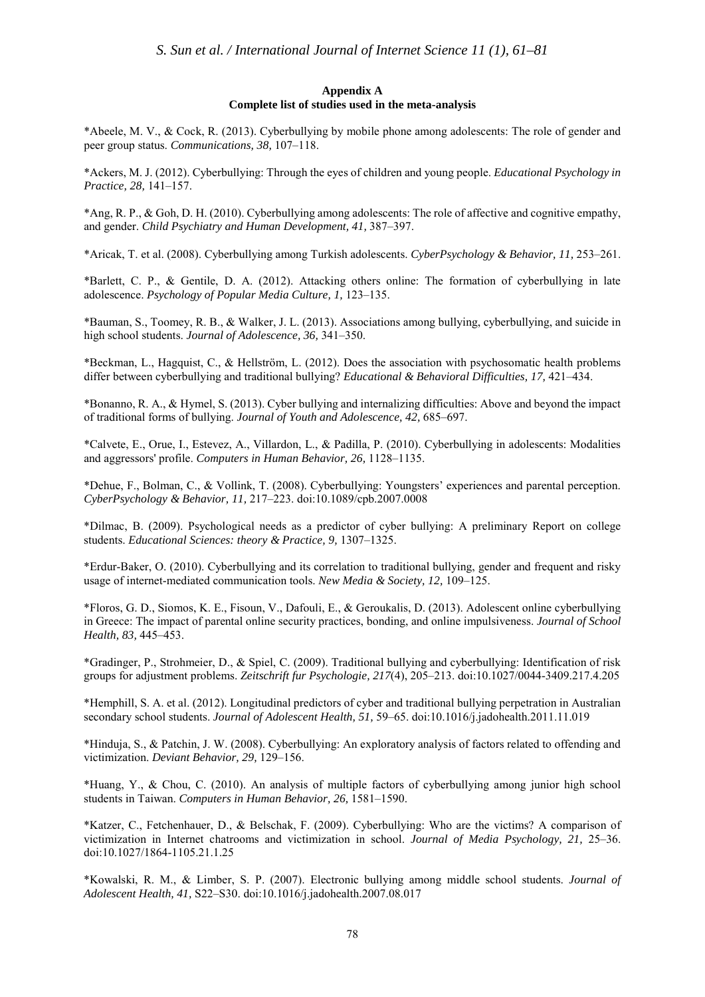#### **Appendix A Complete list of studies used in the meta-analysis**

\*Abeele, M. V., & Cock, R. (2013). Cyberbullying by mobile phone among adolescents: The role of gender and peer group status. *Communications, 38,* 107–118.

\*Ackers, M. J. (2012). Cyberbullying: Through the eyes of children and young people. *Educational Psychology in Practice, 28,* 141–157.

\*Ang, R. P., & Goh, D. H. (2010). Cyberbullying among adolescents: The role of affective and cognitive empathy, and gender. *Child Psychiatry and Human Development, 41,* 387–397.

\*Aricak, T. et al. (2008). Cyberbullying among Turkish adolescents. *CyberPsychology & Behavior, 11,* 253–261.

\*Barlett, C. P., & Gentile, D. A. (2012). Attacking others online: The formation of cyberbullying in late adolescence. *Psychology of Popular Media Culture, 1,* 123–135.

\*Bauman, S., Toomey, R. B., & Walker, J. L. (2013). Associations among bullying, cyberbullying, and suicide in high school students. *Journal of Adolescence, 36,* 341–350.

\*Beckman, L., Hagquist, C., & Hellström, L. (2012). Does the association with psychosomatic health problems differ between cyberbullying and traditional bullying? *Educational & Behavioral Difficulties, 17,* 421–434.

\*Bonanno, R. A., & Hymel, S. (2013). Cyber bullying and internalizing difficulties: Above and beyond the impact of traditional forms of bullying. *Journal of Youth and Adolescence, 42,* 685–697.

\*Calvete, E., Orue, I., Estevez, A., Villardon, L., & Padilla, P. (2010). Cyberbullying in adolescents: Modalities and aggressors' profile. *Computers in Human Behavior, 26,* 1128–1135.

\*Dehue, F., Bolman, C., & Vollink, T. (2008). Cyberbullying: Youngsters' experiences and parental perception. *CyberPsychology & Behavior, 11,* 217–223. doi:10.1089/cpb.2007.0008

\*Dilmac, B. (2009). Psychological needs as a predictor of cyber bullying: A preliminary Report on college students. *Educational Sciences: theory & Practice, 9,* 1307–1325.

\*Erdur-Baker, O. (2010). Cyberbullying and its correlation to traditional bullying, gender and frequent and risky usage of internet-mediated communication tools. *New Media & Society, 12,* 109–125.

\*Floros, G. D., Siomos, K. E., Fisoun, V., Dafouli, E., & Geroukalis, D. (2013). Adolescent online cyberbullying in Greece: The impact of parental online security practices, bonding, and online impulsiveness. *Journal of School Health, 83,* 445–453.

\*Gradinger, P., Strohmeier, D., & Spiel, C. (2009). Traditional bullying and cyberbullying: Identification of risk groups for adjustment problems. *Zeitschrift fur Psychologie, 217*(4), 205–213. [doi:10.1027/0044-3409.217.4.205](http://dx.doi.org/10.1027/0044-3409.217.4.205)

\*Hemphill, S. A. et al. (2012). Longitudinal predictors of cyber and traditional bullying perpetration in Australian secondary school students. *Journal of Adolescent Health, 51,* 59–65[. doi:10.1016/j.jadohealth.2011.11.019](http://dx.doi.org/10.1016/j.jadohealth.2011.11.019)

\*Hinduja, S., & Patchin, J. W. (2008). Cyberbullying: An exploratory analysis of factors related to offending and victimization. *Deviant Behavior, 29,* 129–156.

\*Huang, Y., & Chou, C. (2010). An analysis of multiple factors of cyberbullying among junior high school students in Taiwan. *Computers in Human Behavior, 26,* 1581–1590.

\*Katzer, C., Fetchenhauer, D., & Belschak, F. (2009). Cyberbullying: Who are the victims? A comparison of victimization in Internet chatrooms and victimization in school. *Journal of Media Psychology, 21,* 25–36. [doi:10.1027/1864-1105.21.1.25](http://dx.doi.org/10.1027/1864-1105.21.1.25)

\*Kowalski, R. M., & Limber, S. P. (2007). Electronic bullying among middle school students. *Journal of Adolescent Health, 41,* S22–S30. [doi:10.1016/j.jadohealth.2007.08.017](http://dx.doi.org/10.1016/j.jadohealth.2007.08.017)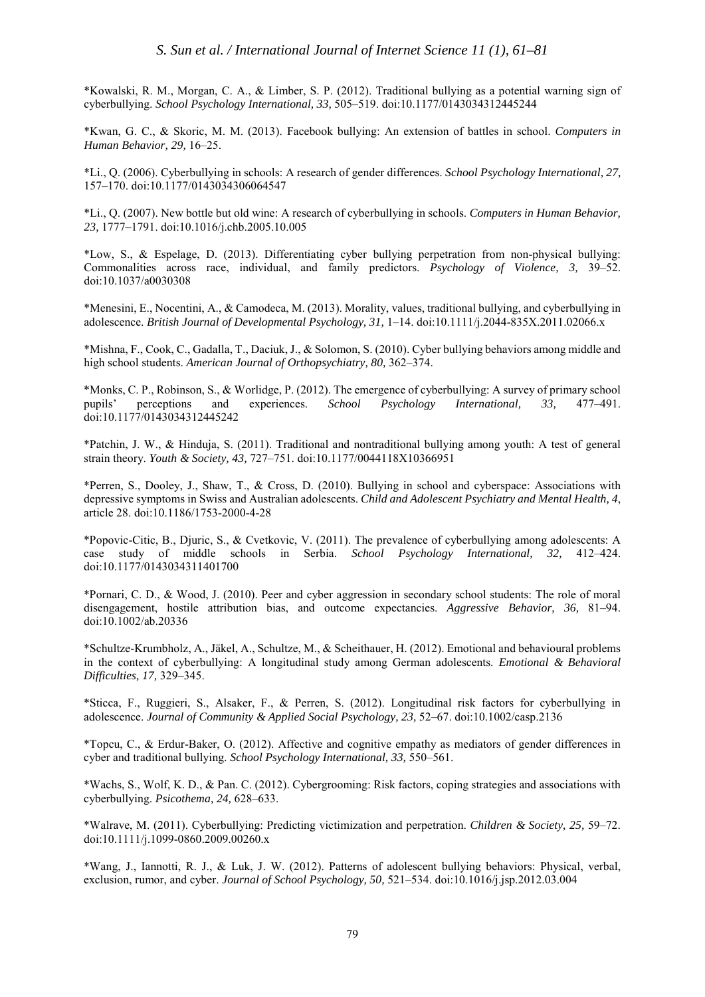\*Kowalski, R. M., Morgan, C. A., & Limber, S. P. (2012). Traditional bullying as a potential warning sign of cyberbullying. *School Psychology International, 33,* 505–519. [doi:10.1177/0143034312445244](http://dx.doi.org/10.1177/0143034312445244)

\*Kwan, G. C., & Skoric, M. M. (2013). Facebook bullying: An extension of battles in school. *Computers in Human Behavior, 29,* 16–25.

\*Li., Q. (2006). Cyberbullying in schools: A research of gender differences. *School Psychology International, 27,* 157–170. [doi:10.1177/0143034306064547](http://dx.doi.org/10.1177/0143034306064547)

\*Li., Q. (2007). New bottle but old wine: A research of cyberbullying in schools. *Computers in Human Behavior, 23,* 1777–1791. [doi:10.1016/j.chb.2005.10.005](http://dx.doi.org/10.1016/j.chb.2005.10.005)

\*Low, S., & Espelage, D. (2013). Differentiating cyber bullying perpetration from non-physical bullying: Commonalities across race, individual, and family predictors. *Psychology of Violence, 3,* 39–52. [doi:10.1037/a0030308](http://dx.doi.org/10.1037/a0030308)

\*Menesini, E., Nocentini, A., & Camodeca, M. (2013). Morality, values, traditional bullying, and cyberbullying in adolescence. *British Journal of Developmental Psychology, 31,* 1–14. [doi:10.1111/j.2044-835X.2011.02066.x](http://dx.doi.org/10.1111/j.2044-835X.2011.02066.x)

\*Mishna, F., Cook, C., Gadalla, T., Daciuk, J., & Solomon, S. (2010). Cyber bullying behaviors among middle and high school students. *American Journal of Orthopsychiatry, 80,* 362–374.

\*Monks, C. P., Robinson, S., & Worlidge, P. (2012). The emergence of cyberbullying: A survey of primary school pupils' perceptions and experiences. School Psychology International. 33. 477–491. pupils' perceptions and experiences. *School Psychology International, 33,* 477–491. [doi:10.1177/0143034312445242](http://dx.doi.org/10.1177/0143034312445242)

\*Patchin, J. W., & Hinduja, S. (2011). Traditional and nontraditional bullying among youth: A test of general strain theory. *Youth & Society, 43,* 727–751. doi:10.1177/0044118X10366951

\*Perren, S., Dooley, J., Shaw, T., & Cross, D. (2010). Bullying in school and cyberspace: Associations with depressive symptoms in Swiss and Australian adolescents. *Child and Adolescent Psychiatry and Mental Health, 4*, article 28. [doi:10.1186/1753-2000-4-28](http://dx.doi.org/10.1186/1753-2000-4-28)

\*Popovic-Citic, B., Djuric, S., & Cvetkovic, V. (2011). The prevalence of cyberbullying among adolescents: A case study of middle schools in Serbia. *School Psychology International*, 32, [doi:10.1177/0143034311401700](http://dx.doi.org/10.1177/0143034311401700)

\*Pornari, C. D., & Wood, J. (2010). Peer and cyber aggression in secondary school students: The role of moral disengagement, hostile attribution bias, and outcome expectancies. *Aggressive Behavior, 36,* 81–94. doi:10.1002/ab.20336

\*Schultze-Krumbholz, A., Jäkel, A., Schultze, M., & Scheithauer, H. (2012). Emotional and behavioural problems in the context of cyberbullying: A longitudinal study among German adolescents. *Emotional & Behavioral Difficulties, 17,* 329–345.

\*Sticca, F., Ruggieri, S., Alsaker, F., & Perren, S. (2012). Longitudinal risk factors for cyberbullying in adolescence. *Journal of Community & Applied Social Psychology, 23,* 52–67. [doi:10.1002/casp.2136](http://dx.doi.org/10.1002/casp.2136)

\*Topcu, C., & Erdur-Baker, O. (2012). Affective and cognitive empathy as mediators of gender differences in cyber and traditional bullying. *School Psychology International, 33,* 550–561.

\*Wachs, S., Wolf, K. D., & Pan. C. (2012). Cybergrooming: Risk factors, coping strategies and associations with cyberbullying. *Psicothema, 24,* 628–633.

\*Walrave, M. (2011). Cyberbullying: Predicting victimization and perpetration. *Children & Society, 25,* 59–72. [doi:10.1111/j.1099-0860.2009.00260.x](http://dx.doi.org/10.1111/j.1099-0860.2009.00260.x) 

\*Wang, J., Iannotti, R. J., & Luk, J. W. (2012). Patterns of adolescent bullying behaviors: Physical, verbal, exclusion, rumor, and cyber. *Journal of School Psychology, 50,* 521–534. [doi:10.1016/j.jsp.2012.03.004](http://dx.doi.org/10.1016/j.jsp.2012.03.004)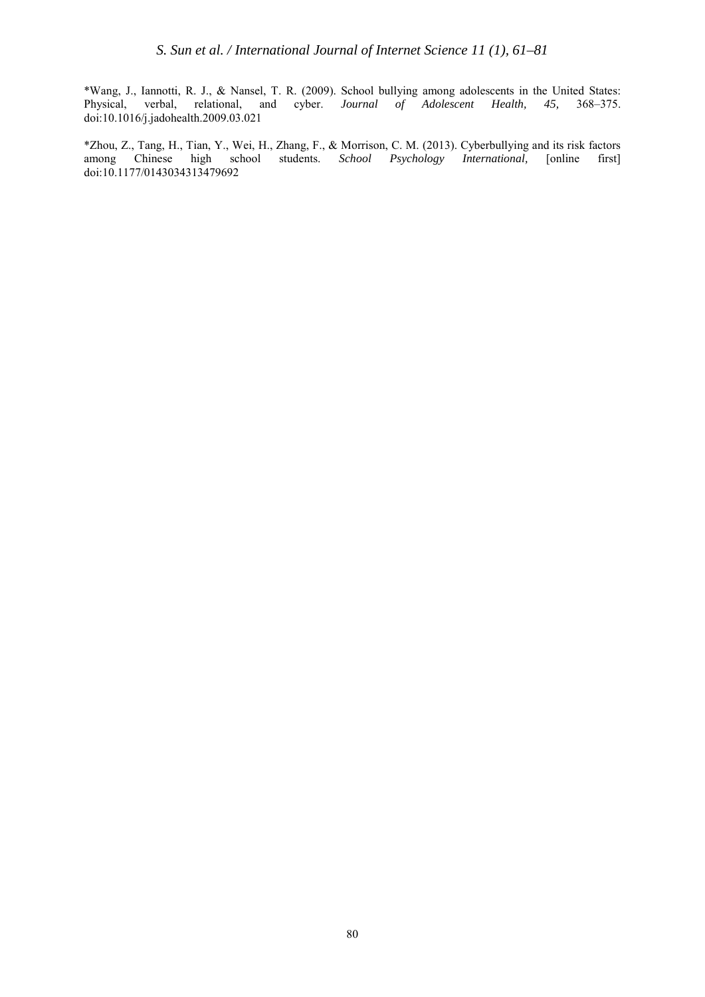\*Wang, J., Iannotti, R. J., & Nansel, T. R. (2009). School bullying among adolescents in the United States: Physical, verbal, relational, and cyber. *Journal of Adolescent Health*, [doi:10.1016/j.jadohealth.2009.03.021](http://dx.doi.org/10.1016/j.jadohealth.2009.03.021)

\*Zhou, Z., Tang, H., Tian, Y., Wei, H., Zhang, F., & Morrison, C. M. (2013). Cyberbullying and its risk factors among Chinese high school [doi:10.1177/0143034313479692](http://dx.doi.org/10.1177/0143034313479692)